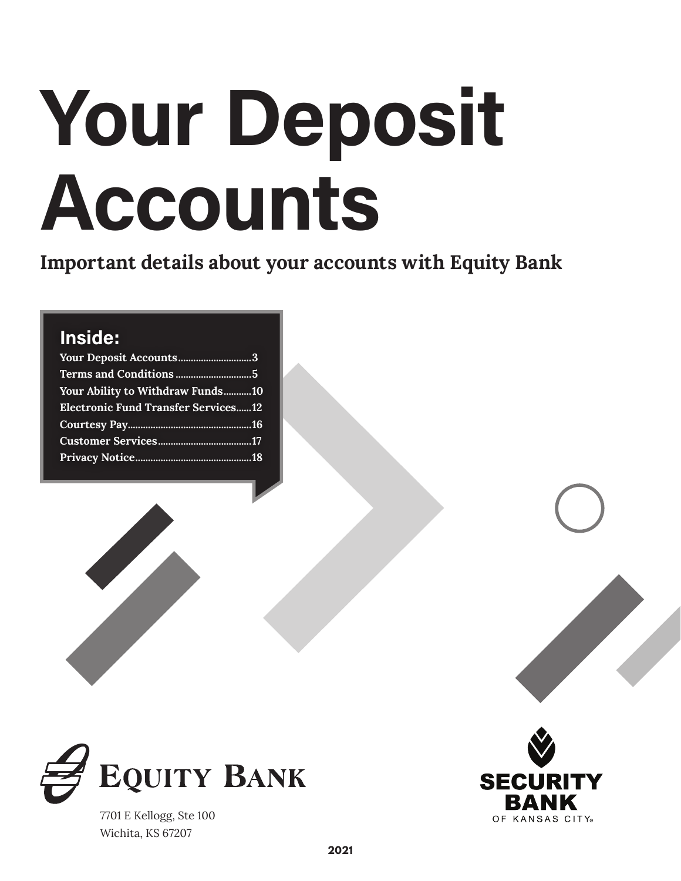# **Your Deposit Accounts**

**Important details about your accounts with Equity Bank**

## **Inside:**

| Your Deposit Accounts3                     |  |
|--------------------------------------------|--|
|                                            |  |
| Your Ability to Withdraw Funds10           |  |
| <b>Electronic Fund Transfer Services12</b> |  |
|                                            |  |
|                                            |  |
|                                            |  |



7701 E Kellogg, Ste 100 Wichita, KS 67207

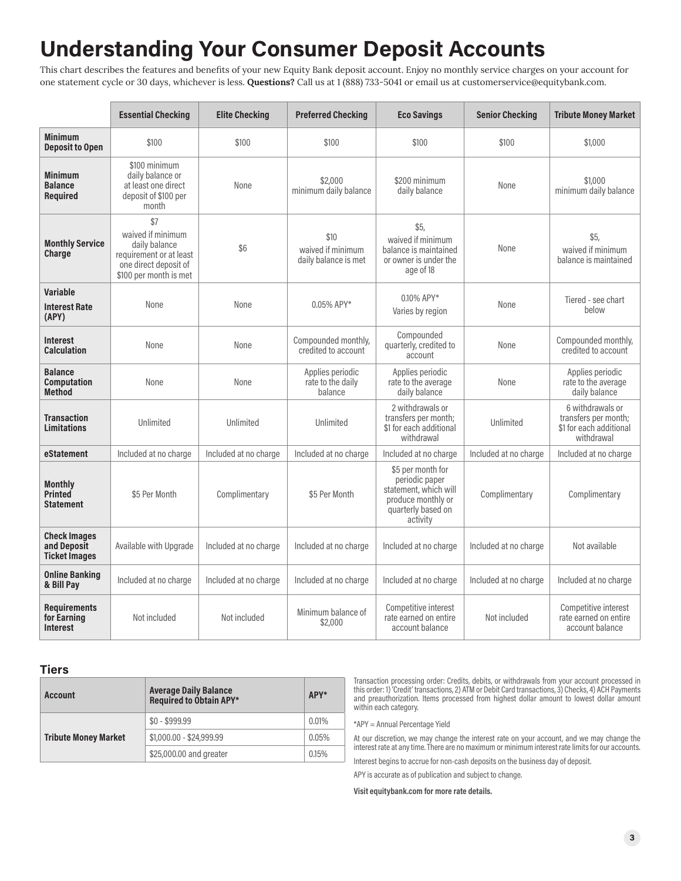# **Understanding Your Consumer Deposit Accounts**

This chart describes the features and benefits of your new Equity Bank deposit account. Enjoy no monthly service charges on your account for one statement cycle or 30 days, whichever is less. **Questions?** Call us at 1 (888) 733-5041 or email us at customerservice@equitybank.com.

|                                                            | <b>Essential Checking</b>                                                                                               | <b>Elite Checking</b> | <b>Preferred Checking</b>                         | <b>Eco Savings</b>                                                                                                   | <b>Senior Checking</b> | <b>Tribute Money Market</b>                                                       |
|------------------------------------------------------------|-------------------------------------------------------------------------------------------------------------------------|-----------------------|---------------------------------------------------|----------------------------------------------------------------------------------------------------------------------|------------------------|-----------------------------------------------------------------------------------|
| <b>Minimum</b><br><b>Deposit to Open</b>                   | \$100                                                                                                                   | \$100                 | \$100                                             | \$100                                                                                                                | \$100                  | \$1,000                                                                           |
| <b>Minimum</b><br><b>Balance</b><br><b>Required</b>        | \$100 minimum<br>daily balance or<br>at least one direct<br>deposit of \$100 per<br>month                               | None                  | \$2,000<br>minimum daily balance                  | \$200 minimum<br>daily balance                                                                                       | None                   | \$1,000<br>minimum daily balance                                                  |
| <b>Monthly Service</b><br>Charge                           | \$7<br>waived if minimum<br>daily balance<br>requirement or at least<br>one direct deposit of<br>\$100 per month is met | \$6                   | \$10<br>waived if minimum<br>daily balance is met | \$5,<br>waived if minimum<br>balance is maintained<br>or owner is under the<br>age of 18                             | None                   | \$5,<br>waived if minimum<br>balance is maintained                                |
| Variable<br><b>Interest Rate</b><br>(APY)                  | None                                                                                                                    | None                  | 0.05% APY*                                        | 0.10% APY*<br>Varies by region                                                                                       | None                   | Tiered - see chart<br>below                                                       |
| <b>Interest</b><br><b>Calculation</b>                      | None                                                                                                                    | None                  | Compounded monthly,<br>credited to account        | Compounded<br>quarterly, credited to<br>account                                                                      | None                   | Compounded monthly,<br>credited to account                                        |
| <b>Balance</b><br><b>Computation</b><br><b>Method</b>      | None                                                                                                                    | None                  | Applies periodic<br>rate to the daily<br>balance  | Applies periodic<br>rate to the average<br>daily balance                                                             | None                   | Applies periodic<br>rate to the average<br>daily balance                          |
| <b>Transaction</b><br><b>Limitations</b>                   | Unlimited                                                                                                               | Unlimited             | Unlimited                                         | 2 withdrawals or<br>transfers per month;<br>\$1 for each additional<br>withdrawal                                    | Unlimited              | 6 withdrawals or<br>transfers per month;<br>\$1 for each additional<br>withdrawal |
| eStatement                                                 | Included at no charge                                                                                                   | Included at no charge | Included at no charge                             | Included at no charge                                                                                                | Included at no charge  | Included at no charge                                                             |
| <b>Monthly</b><br><b>Printed</b><br><b>Statement</b>       | \$5 Per Month                                                                                                           | Complimentary         | \$5 Per Month                                     | \$5 per month for<br>periodic paper<br>statement, which will<br>produce monthly or<br>quarterly based on<br>activity | Complimentary          | Complimentary                                                                     |
| <b>Check Images</b><br>and Deposit<br><b>Ticket Images</b> | Available with Upgrade                                                                                                  | Included at no charge | Included at no charge                             | Included at no charge                                                                                                | Included at no charge  | Not available                                                                     |
| <b>Online Banking</b><br>& Bill Pay                        | Included at no charge                                                                                                   | Included at no charge | Included at no charge                             | Included at no charge                                                                                                | Included at no charge  | Included at no charge                                                             |
| <b>Requirements</b><br>for Earning<br><b>Interest</b>      | Not included                                                                                                            | Not included          | Minimum balance of<br>\$2,000                     | Competitive interest<br>rate earned on entire<br>account balance                                                     | Not included           | Competitive interest<br>rate earned on entire<br>account balance                  |

## **Tiers**

| <b>Account</b>              | <b>Average Daily Balance</b><br><b>Required to Obtain APY*</b> | APY*  |
|-----------------------------|----------------------------------------------------------------|-------|
|                             | $$0 - $999.99$                                                 | 0.01% |
| <b>Tribute Money Market</b> | $$1,000.00 - $24,999.99$                                       | 0.05% |
|                             | \$25,000.00 and greater                                        | 0.15% |

Transaction processing order: Credits, debits, or withdrawals from your account processed in this order: 1) 'Credit' transactions, 2) ATM or Debit Card transactions, 3) Checks, 4) ACH Payments and preauthorization. Items processed from highest dollar amount to lowest dollar amount within each category.

\*APY = Annual Percentage Yield

At our discretion, we may change the interest rate on your account, and we may change the interest rate at any time. There are no maximum or minimum interest rate limits for our accounts.

Interest begins to accrue for non-cash deposits on the business day of deposit.

APY is accurate as of publication and subject to change.

**Visit equitybank.com for more rate details.**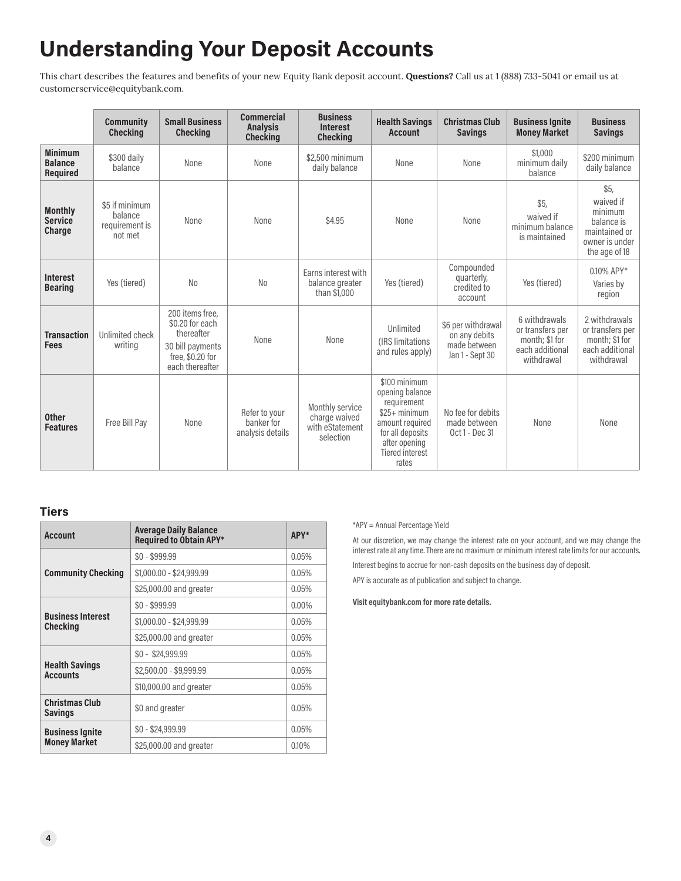# **Understanding Your Deposit Accounts**

This chart describes the features and benefits of your new Equity Bank deposit account. **Questions?** Call us at 1 (888) 733-5041 or email us at customerservice@equitybank.com.

|                                                     | <b>Community</b><br><b>Checking</b>                    | <b>Small Business</b><br><b>Checking</b>                                                                     | <b>Commercial</b><br><b>Analysis</b><br><b>Checking</b> | <b>Business</b><br><b>Interest</b><br><b>Checking</b>            | <b>Health Savings</b><br><b>Account</b>                                                                                                                      | <b>Christmas Club</b><br><b>Savings</b>                                | <b>Business Ignite</b><br><b>Money Market</b>                                        | <b>Business</b><br><b>Savings</b>                                                              |
|-----------------------------------------------------|--------------------------------------------------------|--------------------------------------------------------------------------------------------------------------|---------------------------------------------------------|------------------------------------------------------------------|--------------------------------------------------------------------------------------------------------------------------------------------------------------|------------------------------------------------------------------------|--------------------------------------------------------------------------------------|------------------------------------------------------------------------------------------------|
| <b>Minimum</b><br><b>Balance</b><br><b>Required</b> | \$300 daily<br>balance                                 | None                                                                                                         | None                                                    | \$2,500 minimum<br>daily balance                                 | None                                                                                                                                                         | None                                                                   | \$1.000<br>minimum daily<br>balance                                                  | \$200 minimum<br>daily balance                                                                 |
| <b>Monthly</b><br><b>Service</b><br>Charge          | \$5 if minimum<br>balance<br>requirement is<br>not met | None                                                                                                         | None                                                    | \$4.95                                                           | None                                                                                                                                                         | None                                                                   | \$5.<br>waived if<br>minimum balance<br>is maintained                                | \$5,<br>waived if<br>minimum<br>balance is<br>maintained or<br>owner is under<br>the age of 18 |
| <b>Interest</b><br><b>Bearing</b>                   | Yes (tiered)                                           | <b>No</b>                                                                                                    | N <sub>o</sub>                                          | Earns interest with<br>balance greater<br>than \$1,000           | Yes (tiered)                                                                                                                                                 | Compounded<br>quarterly,<br>credited to<br>account                     | Yes (tiered)                                                                         | 0.10% APY*<br>Varies by<br>region                                                              |
| <b>Transaction</b><br><b>Fees</b>                   | Unlimited check<br>writing                             | 200 items free,<br>\$0.20 for each<br>thereafter<br>30 bill payments<br>free, $$0.20$ for<br>each thereafter | None                                                    | None                                                             | Unlimited<br>(IRS limitations)<br>and rules apply)                                                                                                           | \$6 per withdrawal<br>on any debits<br>made between<br>Jan 1 - Sept 30 | 6 withdrawals<br>or transfers per<br>month: \$1 for<br>each additional<br>withdrawal | 2 withdrawals<br>or transfers per<br>month; \$1 for<br>each additional<br>withdrawal           |
| <b>Other</b><br><b>Features</b>                     | Free Bill Pay                                          | None                                                                                                         | Refer to your<br>banker for<br>analysis details         | Monthly service<br>charge waived<br>with eStatement<br>selection | \$100 minimum<br>opening balance<br>requirement<br>$$25+ minimum$<br>amount required<br>for all deposits<br>after opening<br><b>Tiered interest</b><br>rates | No fee for debits<br>made between<br>Oct 1 - Dec 31                    | None                                                                                 | None                                                                                           |

## **Tiers**

| <b>Account</b>                           | <b>Average Daily Balance</b><br><b>Required to Obtain APY*</b> | APY*     |
|------------------------------------------|----------------------------------------------------------------|----------|
|                                          | $$0 - $999.99$                                                 | 0.05%    |
| <b>Community Checking</b>                | \$1,000.00 - \$24,999.99                                       | 0.05%    |
|                                          | \$25,000.00 and greater                                        | 0.05%    |
|                                          | $$0 - $999.99$                                                 | $0.00\%$ |
| <b>Business Interest</b><br>Checking     | $$1,000.00 - $24,999.99$                                       | 0.05%    |
|                                          | \$25,000.00 and greater                                        | 0.05%    |
|                                          | $$0 - $24,999.99$                                              | 0.05%    |
| <b>Health Savings</b><br><b>Accounts</b> | \$2,500.00 - \$9,999.99                                        | 0.05%    |
|                                          | \$10,000.00 and greater                                        | 0.05%    |
| <b>Christmas Club</b><br>Savings         | \$0 and greater                                                | 0.05%    |
| <b>Business Ignite</b>                   | $$0 - $24.999.99$                                              | 0.05%    |
| <b>Money Market</b>                      | \$25,000.00 and greater                                        | $0.10\%$ |

\*APY = Annual Percentage Yield

At our discretion, we may change the interest rate on your account, and we may change the interest rate at any time. There are no maximum or minimum interest rate limits for our accounts.

Interest begins to accrue for non-cash deposits on the business day of deposit.

APY is accurate as of publication and subject to change.

**Visit equitybank.com for more rate details.**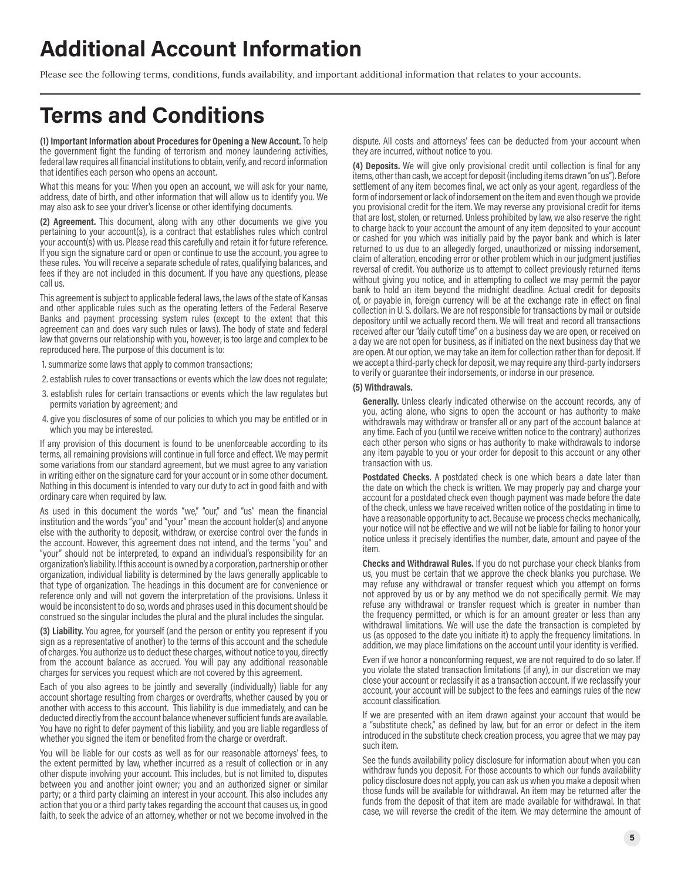# **Additional Account Information**

Please see the following terms, conditions, funds availability, and important additional information that relates to your accounts.

# **Terms and Conditions**

**(1) Important Information about Procedures for Opening a New Account.** To help the government fight the funding of terrorism and money laundering activities, federal law requires all financial institutions to obtain, verify, and record information that identifies each person who opens an account.

What this means for you: When you open an account, we will ask for your name, address, date of birth, and other information that will allow us to identify you. We may also ask to see your driver's license or other identifying documents.

**(2) Agreement.** This document, along with any other documents we give you pertaining to your account(s), is a contract that establishes rules which control your account(s) with us. Please read this carefully and retain it for future reference. If you sign the signature card or open or continue to use the account, you agree to these rules. You will receive a separate schedule of rates, qualifying balances, and fees if they are not included in this document. If you have any questions, please call us.

This agreement is subject to applicable federal laws, the laws of the state of Kansas and other applicable rules such as the operating letters of the Federal Reserve Banks and payment processing system rules (except to the extent that this agreement can and does vary such rules or laws). The body of state and federal law that governs our relationship with you, however, is too large and complex to be reproduced here. The purpose of this document is to:

- 1. summarize some laws that apply to common transactions;
- 2. establish rules to cover transactions or events which the law does not regulate;
- 3. establish rules for certain transactions or events which the law regulates but permits variation by agreement; and
- 4. give you disclosures of some of our policies to which you may be entitled or in which you may be interested.

If any provision of this document is found to be unenforceable according to its terms, all remaining provisions will continue in full force and effect. We may permit some variations from our standard agreement, but we must agree to any variation in writing either on the signature card for your account or in some other document. Nothing in this document is intended to vary our duty to act in good faith and with ordinary care when required by law.

As used in this document the words "we," "our," and "us" mean the financial institution and the words "you" and "your" mean the account holder(s) and anyone else with the authority to deposit, withdraw, or exercise control over the funds in the account. However, this agreement does not intend, and the terms "you" and "your" should not be interpreted, to expand an individual's responsibility for an organization's liability. If this account is owned by a corporation, partnership or other organization, individual liability is determined by the laws generally applicable to that type of organization. The headings in this document are for convenience or reference only and will not govern the interpretation of the provisions. Unless it would be inconsistent to do so, words and phrases used in this document should be construed so the singular includes the plural and the plural includes the singular.

**(3) Liability.** You agree, for yourself (and the person or entity you represent if you sign as a representative of another) to the terms of this account and the schedule of charges. You authorize us to deduct these charges, without notice to you, directly from the account balance as accrued. You will pay any additional reasonable charges for services you request which are not covered by this agreement.

Each of you also agrees to be jointly and severally (individually) liable for any account shortage resulting from charges or overdrafts, whether caused by you or another with access to this account. This liability is due immediately, and can be deducted directly from the account balance whenever sufficient funds are available. You have no right to defer payment of this liability, and you are liable regardless of whether you signed the item or benefited from the charge or overdraft.

You will be liable for our costs as well as for our reasonable attorneys' fees, to the extent permitted by law, whether incurred as a result of collection or in any other dispute involving your account. This includes, but is not limited to, disputes between you and another joint owner; you and an authorized signer or similar party; or a third party claiming an interest in your account. This also includes any action that you or a third party takes regarding the account that causes us, in good faith, to seek the advice of an attorney, whether or not we become involved in the

dispute. All costs and attorneys' fees can be deducted from your account when they are incurred, without notice to you.

**(4) Deposits.** We will give only provisional credit until collection is final for any items, other than cash, we accept for deposit (including items drawn "on us"). Before settlement of any item becomes final, we act only as your agent, regardless of the form of indorsement or lack of indorsement on the item and even though we provide you provisional credit for the item. We may reverse any provisional credit for items that are lost, stolen, or returned. Unless prohibited by law, we also reserve the right to charge back to your account the amount of any item deposited to your account or cashed for you which was initially paid by the payor bank and which is later returned to us due to an allegedly forged, unauthorized or missing indorsement, claim of alteration, encoding error or other problem which in our judgment justifies reversal of credit. You authorize us to attempt to collect previously returned items without giving you notice, and in attempting to collect we may permit the payor bank to hold an item beyond the midnight deadline. Actual credit for deposits of, or payable in, foreign currency will be at the exchange rate in effect on final collection in U. S. dollars. We are not responsible for transactions by mail or outside depository until we actually record them. We will treat and record all transactions received after our "daily cutoff time" on a business day we are open, or received on a day we are not open for business, as if initiated on the next business day that we are open. At our option, we may take an item for collection rather than for deposit. If we accept a third-party check for deposit, we may require any third-party indorsers to verify or guarantee their indorsements, or indorse in our presence.

#### **(5) Withdrawals.**

**Generally.** Unless clearly indicated otherwise on the account records, any of you, acting alone, who signs to open the account or has authority to make withdrawals may withdraw or transfer all or any part of the account balance at any time. Each of you (until we receive written notice to the contrary) authorizes each other person who signs or has authority to make withdrawals to indorse any item payable to you or your order for deposit to this account or any other transaction with us.

**Postdated Checks.** A postdated check is one which bears a date later than the date on which the check is written. We may properly pay and charge your account for a postdated check even though payment was made before the date of the check, unless we have received written notice of the postdating in time to have a reasonable opportunity to act. Because we process checks mechanically, your notice will not be effective and we will not be liable for failing to honor your notice unless it precisely identifies the number, date, amount and payee of the item.

**Checks and Withdrawal Rules.** If you do not purchase your check blanks from us, you must be certain that we approve the check blanks you purchase. We may refuse any withdrawal or transfer request which you attempt on forms not approved by us or by any method we do not specifically permit. We may refuse any withdrawal or transfer request which is greater in number than the frequency permitted, or which is for an amount greater or less than any withdrawal limitations. We will use the date the transaction is completed by us (as opposed to the date you initiate it) to apply the frequency limitations. In addition, we may place limitations on the account until your identity is verified.

Even if we honor a nonconforming request, we are not required to do so later. If you violate the stated transaction limitations (if any), in our discretion we may close your account or reclassify it as a transaction account. If we reclassify your account, your account will be subject to the fees and earnings rules of the new account classification.

If we are presented with an item drawn against your account that would be a "substitute check," as defined by law, but for an error or defect in the item introduced in the substitute check creation process, you agree that we may pay such item.

See the funds availability policy disclosure for information about when you can withdraw funds you deposit. For those accounts to which our funds availability policy disclosure does not apply, you can ask us when you make a deposit when those funds will be available for withdrawal. An item may be returned after the funds from the deposit of that item are made available for withdrawal. In that case, we will reverse the credit of the item. We may determine the amount of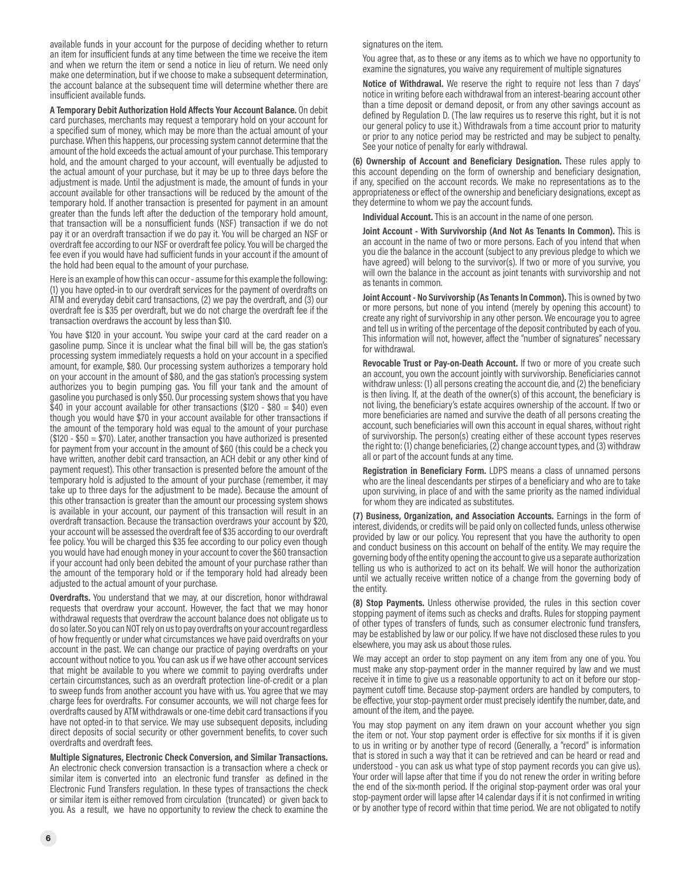available funds in your account for the purpose of deciding whether to return an item for insufficient funds at any time between the time we receive the item and when we return the item or send a notice in lieu of return. We need only make one determination, but if we choose to make a subsequent determination, the account balance at the subsequent time will determine whether there are insufficient available funds.

**A Temporary Debit Authorization Hold Affects Your Account Balance.** On debit card purchases, merchants may request a temporary hold on your account for a specified sum of money, which may be more than the actual amount of your purchase. When this happens, our processing system cannot determine that the amount of the hold exceeds the actual amount of your purchase. This temporary hold, and the amount charged to your account, will eventually be adjusted to the actual amount of your purchase, but it may be up to three days before the adjustment is made. Until the adjustment is made, the amount of funds in your account available for other transactions will be reduced by the amount of the temporary hold. If another transaction is presented for payment in an amount greater than the funds left after the deduction of the temporary hold amount, that transaction will be a nonsufficient funds (NSF) transaction if we do not pay it or an overdraft transaction if we do pay it. You will be charged an NSF or overdraft fee according to our NSF or overdraft fee policy. You will be charged the fee even if you would have had sufficient funds in your account if the amount of the hold had been equal to the amount of your purchase.

Here is an example of how this can occur - assume for this example the following: (1) you have opted-in to our overdraft services for the payment of overdrafts on ATM and everyday debit card transactions, (2) we pay the overdraft, and (3) our overdraft fee is \$35 per overdraft, but we do not charge the overdraft fee if the transaction overdraws the account by less than \$10.

You have \$120 in your account. You swipe your card at the card reader on a gasoline pump. Since it is unclear what the final bill will be, the gas station's processing system immediately requests a hold on your account in a specified amount, for example, \$80. Our processing system authorizes a temporary hold on your account in the amount of \$80, and the gas station's processing system authorizes you to begin pumping gas. You fill your tank and the amount of gasoline you purchased is only \$50. Our processing system shows that you have \$40 in your account available for other transactions (\$120 - \$80 = \$40) even though you would have \$70 in your account available for other transactions if the amount of the temporary hold was equal to the amount of your purchase (\$120 - \$50 = \$70). Later, another transaction you have authorized is presented for payment from your account in the amount of \$60 (this could be a check you have written, another debit card transaction, an ACH debit or any other kind of payment request). This other transaction is presented before the amount of the temporary hold is adjusted to the amount of your purchase (remember, it may take up to three days for the adjustment to be made). Because the amount of this other transaction is greater than the amount our processing system shows is available in your account, our payment of this transaction will result in an overdraft transaction. Because the transaction overdraws your account by \$20, your account will be assessed the overdraft fee of \$35 according to our overdraft fee policy. You will be charged this \$35 fee according to our policy even though you would have had enough money in your account to cover the \$60 transaction if your account had only been debited the amount of your purchase rather than the amount of the temporary hold or if the temporary hold had already been adjusted to the actual amount of your purchase.

**Overdrafts.** You understand that we may, at our discretion, honor withdrawal requests that overdraw your account. However, the fact that we may honor withdrawal requests that overdraw the account balance does not obligate us to do so later. So you can NOT rely on us to pay overdrafts on your account regardless of how frequently or under what circumstances we have paid overdrafts on your account in the past. We can change our practice of paying overdrafts on your account without notice to you. You can ask us if we have other account services that might be available to you where we commit to paying overdrafts under certain circumstances, such as an overdraft protection line-of-credit or a plan to sweep funds from another account you have with us. You agree that we may charge fees for overdrafts. For consumer accounts, we will not charge fees for overdrafts caused by ATM withdrawals or one-time debit card transactions if you have not opted-in to that service. We may use subsequent deposits, including direct deposits of social security or other government benefits, to cover such overdrafts and overdraft fees.

**Multiple Signatures, Electronic Check Conversion, and Similar Transactions.** An electronic check conversion transaction is a transaction where a check or similar item is converted into an electronic fund transfer as defined in the Electronic Fund Transfers regulation. In these types of transactions the check or similar item is either removed from circulation (truncated) or given back to you. As a result, we have no opportunity to review the check to examine the

signatures on the item.

You agree that, as to these or any items as to which we have no opportunity to examine the signatures, you waive any requirement of multiple signatures

**Notice of Withdrawal.** We reserve the right to require not less than 7 days' notice in writing before each withdrawal from an interest-bearing account other than a time deposit or demand deposit, or from any other savings account as defined by Regulation D. (The law requires us to reserve this right, but it is not our general policy to use it.) Withdrawals from a time account prior to maturity or prior to any notice period may be restricted and may be subject to penalty. See your notice of penalty for early withdrawal.

**(6) Ownership of Account and Beneficiary Designation.** These rules apply to this account depending on the form of ownership and beneficiary designation, if any, specified on the account records. We make no representations as to the appropriateness or effect of the ownership and beneficiary designations, except as they determine to whom we pay the account funds.

**Individual Account.** This is an account in the name of one person.

**Joint Account - With Survivorship (And Not As Tenants In Common).** This is an account in the name of two or more persons. Each of you intend that when you die the balance in the account (subject to any previous pledge to which we have agreed) will belong to the survivor(s). If two or more of you survive, you will own the balance in the account as joint tenants with survivorship and not as tenants in common.

**Joint Account - No Survivorship (As Tenants In Common).** This is owned by two or more persons, but none of you intend (merely by opening this account) to create any right of survivorship in any other person. We encourage you to agree and tell us in writing of the percentage of the deposit contributed by each of you. This information will not, however, affect the "number of signatures" necessary for withdrawal.

**Revocable Trust or Pay-on-Death Account.** If two or more of you create such an account, you own the account jointly with survivorship. Beneficiaries cannot withdraw unless: (1) all persons creating the account die, and (2) the beneficiary is then living. If, at the death of the owner(s) of this account, the beneficiary is not living, the beneficiary's estate acquires ownership of the account. If two or more beneficiaries are named and survive the death of all persons creating the account, such beneficiaries will own this account in equal shares, without right of survivorship. The person(s) creating either of these account types reserves the right to: (1) change beneficiaries, (2) change account types, and (3) withdraw all or part of the account funds at any time.

**Registration in Beneficiary Form.** LDPS means a class of unnamed persons who are the lineal descendants per stirpes of a beneficiary and who are to take upon surviving, in place of and with the same priority as the named individual for whom they are indicated as substitutes.

**(7) Business, Organization, and Association Accounts.** Earnings in the form of interest, dividends, or credits will be paid only on collected funds, unless otherwise provided by law or our policy. You represent that you have the authority to open and conduct business on this account on behalf of the entity. We may require the governing body of the entity opening the account to give us a separate authorization telling us who is authorized to act on its behalf. We will honor the authorization until we actually receive written notice of a change from the governing body of the entity.

**(8) Stop Payments.** Unless otherwise provided, the rules in this section cover stopping payment of items such as checks and drafts. Rules for stopping payment of other types of transfers of funds, such as consumer electronic fund transfers, may be established by law or our policy. If we have not disclosed these rules to you elsewhere, you may ask us about those rules.

We may accept an order to stop payment on any item from any one of you. You must make any stop-payment order in the manner required by law and we must receive it in time to give us a reasonable opportunity to act on it before our stoppayment cutoff time. Because stop-payment orders are handled by computers, to be effective, your stop-payment order must precisely identify the number, date, and amount of the item, and the payee.

You may stop payment on any item drawn on your account whether you sign the item or not. Your stop payment order is effective for six months if it is given to us in writing or by another type of record (Generally, a "record" is information that is stored in such a way that it can be retrieved and can be heard or read and understood - you can ask us what type of stop payment records you can give us). Your order will lapse after that time if you do not renew the order in writing before the end of the six-month period. If the original stop-payment order was oral your stop-payment order will lapse after 14 calendar days if it is not confirmed in writing or by another type of record within that time period. We are not obligated to notify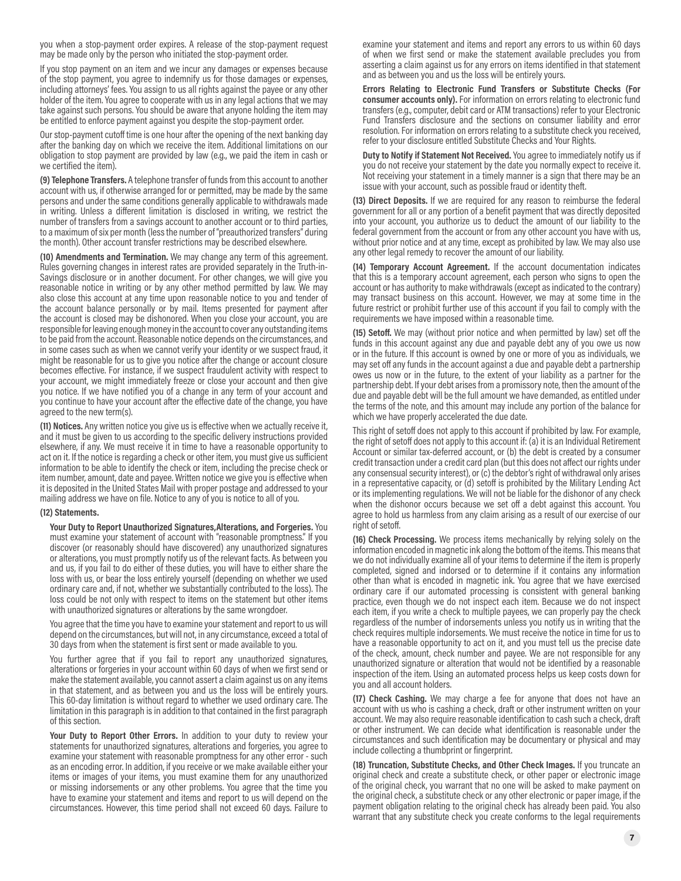you when a stop-payment order expires. A release of the stop-payment request may be made only by the person who initiated the stop-payment order.

If you stop payment on an item and we incur any damages or expenses because of the stop payment, you agree to indemnify us for those damages or expenses, including attorneys' fees. You assign to us all rights against the payee or any other holder of the item. You agree to cooperate with us in any legal actions that we may take against such persons. You should be aware that anyone holding the item may be entitled to enforce payment against you despite the stop-payment order.

Our stop-payment cutoff time is one hour after the opening of the next banking day after the banking day on which we receive the item. Additional limitations on our obligation to stop payment are provided by law (e.g., we paid the item in cash or we certified the item).

**(9) Telephone Transfers.** A telephone transfer of funds from this account to another account with us, if otherwise arranged for or permitted, may be made by the same persons and under the same conditions generally applicable to withdrawals made in writing. Unless a different limitation is disclosed in writing, we restrict the number of transfers from a savings account to another account or to third parties, to a maximum of six per month (less the number of "preauthorized transfers" during the month). Other account transfer restrictions may be described elsewhere.

**(10) Amendments and Termination.** We may change any term of this agreement. Rules governing changes in interest rates are provided separately in the Truth-in-Savings disclosure or in another document. For other changes, we will give you reasonable notice in writing or by any other method permitted by law. We may also close this account at any time upon reasonable notice to you and tender of the account balance personally or by mail. Items presented for payment after the account is closed may be dishonored. When you close your account, you are responsible for leaving enough money in the account to cover any outstanding items to be paid from the account. Reasonable notice depends on the circumstances, and in some cases such as when we cannot verify your identity or we suspect fraud, it might be reasonable for us to give you notice after the change or account closure becomes effective. For instance, if we suspect fraudulent activity with respect to your account, we might immediately freeze or close your account and then give you notice. If we have notified you of a change in any term of your account and you continue to have your account after the effective date of the change, you have agreed to the new term(s).

**(11) Notices.** Any written notice you give us is effective when we actually receive it, and it must be given to us according to the specific delivery instructions provided elsewhere, if any. We must receive it in time to have a reasonable opportunity to act on it. If the notice is regarding a check or other item, you must give us sufficient information to be able to identify the check or item, including the precise check or item number, amount, date and payee. Written notice we give you is effective when it is deposited in the United States Mail with proper postage and addressed to your mailing address we have on file. Notice to any of you is notice to all of you.

#### **(12) Statements.**

**Your Duty to Report Unauthorized Signatures,Alterations, and Forgeries.** You must examine your statement of account with "reasonable promptness." If you discover (or reasonably should have discovered) any unauthorized signatures or alterations, you must promptly notify us of the relevant facts. As between you and us, if you fail to do either of these duties, you will have to either share the loss with us, or bear the loss entirely yourself (depending on whether we used ordinary care and, if not, whether we substantially contributed to the loss). The loss could be not only with respect to items on the statement but other items with unauthorized signatures or alterations by the same wrongdoer.

You agree that the time you have to examine your statement and report to us will depend on the circumstances, but will not, in any circumstance, exceed a total of 30 days from when the statement is first sent or made available to you.

You further agree that if you fail to report any unauthorized signatures, alterations or forgeries in your account within 60 days of when we first send or make the statement available, you cannot assert a claim against us on any items in that statement, and as between you and us the loss will be entirely yours. This 60-day limitation is without regard to whether we used ordinary care. The limitation in this paragraph is in addition to that contained in the first paragraph of this section.

**Your Duty to Report Other Errors.** In addition to your duty to review your statements for unauthorized signatures, alterations and forgeries, you agree to examine your statement with reasonable promptness for any other error - such as an encoding error. In addition, if you receive or we make available either your items or images of your items, you must examine them for any unauthorized or missing indorsements or any other problems. You agree that the time you have to examine your statement and items and report to us will depend on the circumstances. However, this time period shall not exceed 60 days. Failure to examine your statement and items and report any errors to us within 60 days of when we first send or make the statement available precludes you from asserting a claim against us for any errors on items identified in that statement and as between you and us the loss will be entirely yours.

**Errors Relating to Electronic Fund Transfers or Substitute Checks (For consumer accounts only).** For information on errors relating to electronic fund transfers (e.g., computer, debit card or ATM transactions) refer to your Electronic Fund Transfers disclosure and the sections on consumer liability and error resolution. For information on errors relating to a substitute check you received, refer to your disclosure entitled Substitute Checks and Your Rights.

**Duty to Notify if Statement Not Received.** You agree to immediately notify us if you do not receive your statement by the date you normally expect to receive it. Not receiving your statement in a timely manner is a sign that there may be an issue with your account, such as possible fraud or identity theft.

**(13) Direct Deposits.** If we are required for any reason to reimburse the federal government for all or any portion of a benefit payment that was directly deposited into your account, you authorize us to deduct the amount of our liability to the federal government from the account or from any other account you have with us, without prior notice and at any time, except as prohibited by law. We may also use any other legal remedy to recover the amount of our liability.

**(14) Temporary Account Agreement.** If the account documentation indicates that this is a temporary account agreement, each person who signs to open the account or has authority to make withdrawals (except as indicated to the contrary) may transact business on this account. However, we may at some time in the future restrict or prohibit further use of this account if you fail to comply with the requirements we have imposed within a reasonable time.

**(15) Setoff.** We may (without prior notice and when permitted by law) set off the funds in this account against any due and payable debt any of you owe us now or in the future. If this account is owned by one or more of you as individuals, we may set off any funds in the account against a due and payable debt a partnership owes us now or in the future, to the extent of your liability as a partner for the partnership debt. If your debt arises from a promissory note, then the amount of the due and payable debt will be the full amount we have demanded, as entitled under the terms of the note, and this amount may include any portion of the balance for which we have properly accelerated the due date.

This right of setoff does not apply to this account if prohibited by law. For example, the right of setoff does not apply to this account if: (a) it is an Individual Retirement Account or similar tax-deferred account, or (b) the debt is created by a consumer credit transaction under a credit card plan (but this does not affect our rights under any consensual security interest), or (c) the debtor's right of withdrawal only arises in a representative capacity, or (d) setoff is prohibited by the Military Lending Act or its implementing regulations. We will not be liable for the dishonor of any check when the dishonor occurs because we set off a debt against this account. You agree to hold us harmless from any claim arising as a result of our exercise of our right of setoff.

**(16) Check Processing.** We process items mechanically by relying solely on the information encoded in magnetic ink along the bottom of the items. This means that we do not individually examine all of your items to determine if the item is properly completed, signed and indorsed or to determine if it contains any information other than what is encoded in magnetic ink. You agree that we have exercised ordinary care if our automated processing is consistent with general banking practice, even though we do not inspect each item. Because we do not inspect each item, if you write a check to multiple payees, we can properly pay the check regardless of the number of indorsements unless you notify us in writing that the check requires multiple indorsements. We must receive the notice in time for us to have a reasonable opportunity to act on it, and you must tell us the precise date of the check, amount, check number and payee. We are not responsible for any unauthorized signature or alteration that would not be identified by a reasonable inspection of the item. Using an automated process helps us keep costs down for you and all account holders.

**(17) Check Cashing.** We may charge a fee for anyone that does not have an account with us who is cashing a check, draft or other instrument written on your account. We may also require reasonable identification to cash such a check, draft or other instrument. We can decide what identification is reasonable under the circumstances and such identification may be documentary or physical and may include collecting a thumbprint or fingerprint.

**(18) Truncation, Substitute Checks, and Other Check Images.** If you truncate an original check and create a substitute check, or other paper or electronic image of the original check, you warrant that no one will be asked to make payment on the original check, a substitute check or any other electronic or paper image, if the payment obligation relating to the original check has already been paid. You also warrant that any substitute check you create conforms to the legal requirements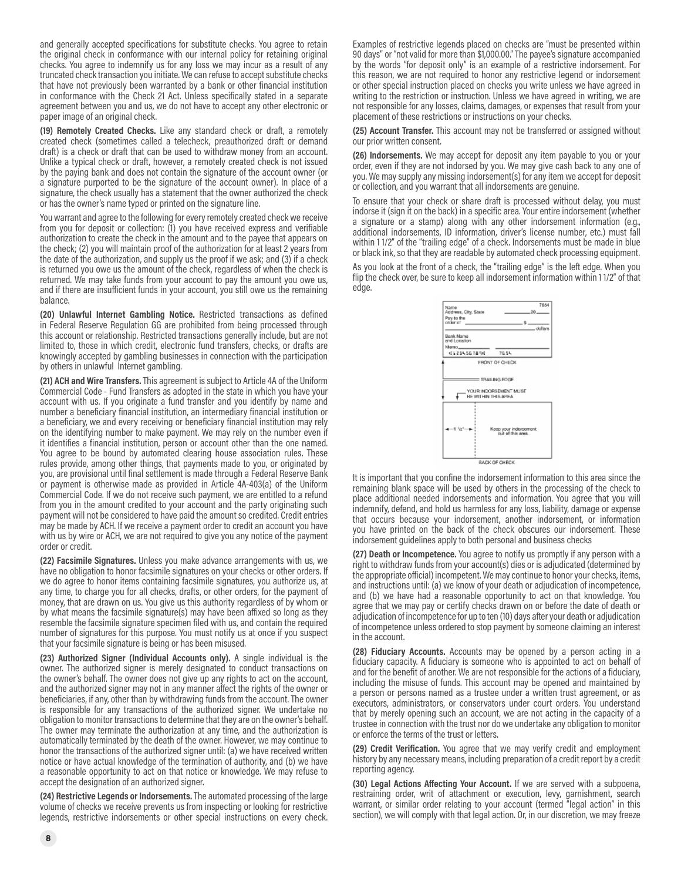and generally accepted specifications for substitute checks. You agree to retain the original check in conformance with our internal policy for retaining original checks. You agree to indemnify us for any loss we may incur as a result of any truncated check transaction you initiate. We can refuse to accept substitute checks that have not previously been warranted by a bank or other financial institution in conformance with the Check 21 Act. Unless specifically stated in a separate agreement between you and us, we do not have to accept any other electronic or paper image of an original check.

**(19) Remotely Created Checks.** Like any standard check or draft, a remotely created check (sometimes called a telecheck, preauthorized draft or demand draft) is a check or draft that can be used to withdraw money from an account. Unlike a typical check or draft, however, a remotely created check is not issued by the paying bank and does not contain the signature of the account owner (or a signature purported to be the signature of the account owner). In place of a signature, the check usually has a statement that the owner authorized the check or has the owner's name typed or printed on the signature line.

You warrant and agree to the following for every remotely created check we receive from you for deposit or collection: (1) you have received express and verifiable authorization to create the check in the amount and to the payee that appears on the check; (2) you will maintain proof of the authorization for at least 2 years from the date of the authorization, and supply us the proof if we ask; and (3) if a check is returned you owe us the amount of the check, regardless of when the check is returned. We may take funds from your account to pay the amount you owe us, and if there are insufficient funds in your account, you still owe us the remaining balance.

**(20) Unlawful Internet Gambling Notice.** Restricted transactions as defined in Federal Reserve Regulation GG are prohibited from being processed through this account or relationship. Restricted transactions generally include, but are not limited to, those in which credit, electronic fund transfers, checks, or drafts are knowingly accepted by gambling businesses in connection with the participation by others in unlawful Internet gambling.

**(21) ACH and Wire Transfers.** This agreement is subject to Article 4A of the Uniform Commercial Code - Fund Transfers as adopted in the state in which you have your account with us. If you originate a fund transfer and you identify by name and number a beneficiary financial institution, an intermediary financial institution or a beneficiary, we and every receiving or beneficiary financial institution may rely on the identifying number to make payment. We may rely on the number even if it identifies a financial institution, person or account other than the one named. You agree to be bound by automated clearing house association rules. These rules provide, among other things, that payments made to you, or originated by you, are provisional until final settlement is made through a Federal Reserve Bank or payment is otherwise made as provided in Article 4A-403(a) of the Uniform Commercial Code. If we do not receive such payment, we are entitled to a refund from you in the amount credited to your account and the party originating such payment will not be considered to have paid the amount so credited. Credit entries may be made by ACH. If we receive a payment order to credit an account you have with us by wire or ACH, we are not required to give you any notice of the payment order or credit.

**(22) Facsimile Signatures.** Unless you make advance arrangements with us, we have no obligation to honor facsimile signatures on your checks or other orders. If we do agree to honor items containing facsimile signatures, you authorize us, at any time, to charge you for all checks, drafts, or other orders, for the payment of money, that are drawn on us. You give us this authority regardless of by whom or by what means the facsimile signature(s) may have been affixed so long as they resemble the facsimile signature specimen filed with us, and contain the required number of signatures for this purpose. You must notify us at once if you suspect that your facsimile signature is being or has been misused.

**(23) Authorized Signer (Individual Accounts only).** A single individual is the owner. The authorized signer is merely designated to conduct transactions on the owner's behalf. The owner does not give up any rights to act on the account, and the authorized signer may not in any manner affect the rights of the owner or beneficiaries, if any, other than by withdrawing funds from the account. The owner is responsible for any transactions of the authorized signer. We undertake no obligation to monitor transactions to determine that they are on the owner's behalf. The owner may terminate the authorization at any time, and the authorization is automatically terminated by the death of the owner. However, we may continue to honor the transactions of the authorized signer until: (a) we have received written notice or have actual knowledge of the termination of authority, and (b) we have a reasonable opportunity to act on that notice or knowledge. We may refuse to accept the designation of an authorized signer.

**(24) Restrictive Legends or Indorsements.** The automated processing of the large volume of checks we receive prevents us from inspecting or looking for restrictive legends, restrictive indorsements or other special instructions on every check. Examples of restrictive legends placed on checks are "must be presented within 90 days" or "not valid for more than \$1,000.00." The payee's signature accompanied by the words "for deposit only" is an example of a restrictive indorsement. For this reason, we are not required to honor any restrictive legend or indorsement or other special instruction placed on checks you write unless we have agreed in writing to the restriction or instruction. Unless we have agreed in writing, we are not responsible for any losses, claims, damages, or expenses that result from your placement of these restrictions or instructions on your checks.

**(25) Account Transfer.** This account may not be transferred or assigned without our prior written consent.

**(26) Indorsements.** We may accept for deposit any item payable to you or your order, even if they are not indorsed by you. We may give cash back to any one of you. We may supply any missing indorsement(s) for any item we accept for deposit or collection, and you warrant that all indorsements are genuine.

To ensure that your check or share draft is processed without delay, you must indorse it (sign it on the back) in a specific area. Your entire indorsement (whether a signature or a stamp) along with any other indorsement information (e.g., additional indorsements, ID information, driver's license number, etc.) must fall within 1 1/2" of the "trailing edge" of a check. Indorsements must be made in blue or black ink, so that they are readable by automated check processing equipment.

As you look at the front of a check, the "trailing edge" is the left edge. When you flip the check over, be sure to keep all indorsement information within 1 1/2" of that edge.



It is important that you confine the indorsement information to this area since the remaining blank space will be used by others in the processing of the check to place additional needed indorsements and information. You agree that you will indemnify, defend, and hold us harmless for any loss, liability, damage or expense that occurs because your indorsement, another indorsement, or information you have printed on the back of the check obscures our indorsement. These indorsement guidelines apply to both personal and business checks

**(27) Death or Incompetence.** You agree to notify us promptly if any person with a right to withdraw funds from your account(s) dies or is adjudicated (determined by the appropriate official) incompetent. We may continue to honor your checks, items, and instructions until: (a) we know of your death or adjudication of incompetence, and (b) we have had a reasonable opportunity to act on that knowledge. You agree that we may pay or certify checks drawn on or before the date of death or adjudication of incompetence for up to ten (10) days after your death or adjudication of incompetence unless ordered to stop payment by someone claiming an interest in the account.

**(28) Fiduciary Accounts.** Accounts may be opened by a person acting in a fiduciary capacity. A fiduciary is someone who is appointed to act on behalf of and for the benefit of another. We are not responsible for the actions of a fiduciary, including the misuse of funds. This account may be opened and maintained by a person or persons named as a trustee under a written trust agreement, or as executors, administrators, or conservators under court orders. You understand that by merely opening such an account, we are not acting in the capacity of a trustee in connection with the trust nor do we undertake any obligation to monitor or enforce the terms of the trust or letters.

**(29) Credit Verification.** You agree that we may verify credit and employment history by any necessary means, including preparation of a credit report by a credit reporting agency.

**(30) Legal Actions Affecting Your Account.** If we are served with a subpoena, restraining order, writ of attachment or execution, levy, garnishment, search warrant, or similar order relating to your account (termed "legal action" in this section), we will comply with that legal action. Or, in our discretion, we may freeze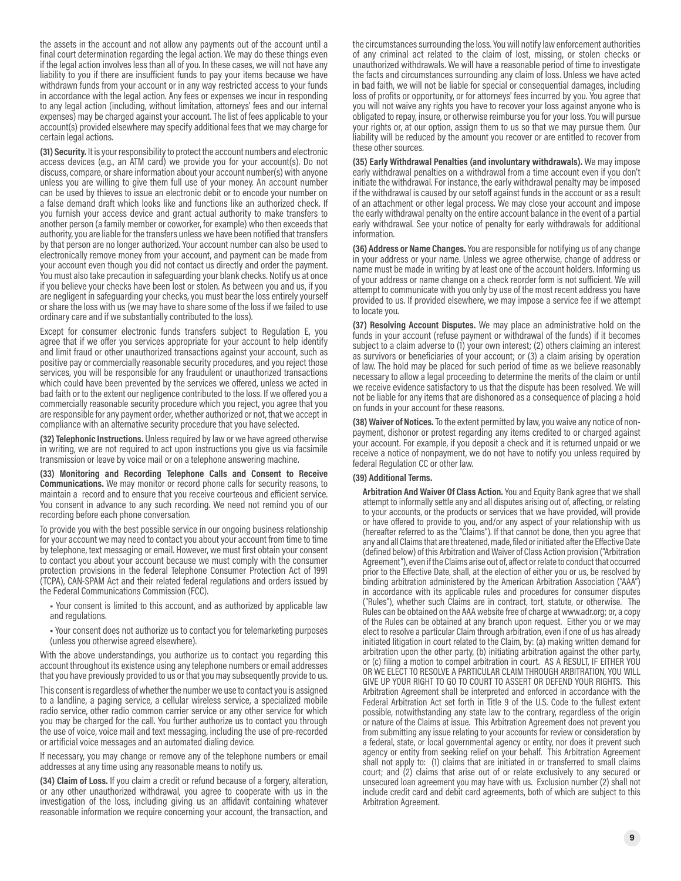the assets in the account and not allow any payments out of the account until a final court determination regarding the legal action. We may do these things even if the legal action involves less than all of you. In these cases, we will not have any liability to you if there are insufficient funds to pay your items because we have withdrawn funds from your account or in any way restricted access to your funds in accordance with the legal action. Any fees or expenses we incur in responding to any legal action (including, without limitation, attorneys' fees and our internal expenses) may be charged against your account. The list of fees applicable to your account(s) provided elsewhere may specify additional fees that we may charge for certain legal actions.

**(31) Security.** It is your responsibility to protect the account numbers and electronic access devices (e.g., an ATM card) we provide you for your account(s). Do not discuss, compare, or share information about your account number(s) with anyone unless you are willing to give them full use of your money. An account number can be used by thieves to issue an electronic debit or to encode your number on a false demand draft which looks like and functions like an authorized check. If you furnish your access device and grant actual authority to make transfers to another person (a family member or coworker, for example) who then exceeds that authority, you are liable for the transfers unless we have been notified that transfers by that person are no longer authorized. Your account number can also be used to electronically remove money from your account, and payment can be made from your account even though you did not contact us directly and order the payment. You must also take precaution in safeguarding your blank checks. Notify us at once if you believe your checks have been lost or stolen. As between you and us, if you are negligent in safeguarding your checks, you must bear the loss entirely yourself or share the loss with us (we may have to share some of the loss if we failed to use ordinary care and if we substantially contributed to the loss).

Except for consumer electronic funds transfers subject to Regulation E, you agree that if we offer you services appropriate for your account to help identify and limit fraud or other unauthorized transactions against your account, such as positive pay or commercially reasonable security procedures, and you reject those services, you will be responsible for any fraudulent or unauthorized transactions which could have been prevented by the services we offered, unless we acted in bad faith or to the extent our negligence contributed to the loss. If we offered you a commercially reasonable security procedure which you reject, you agree that you are responsible for any payment order, whether authorized or not, that we accept in compliance with an alternative security procedure that you have selected.

**(32) Telephonic Instructions.** Unless required by law or we have agreed otherwise in writing, we are not required to act upon instructions you give us via facsimile transmission or leave by voice mail or on a telephone answering machine.

**(33) Monitoring and Recording Telephone Calls and Consent to Receive Communications.** We may monitor or record phone calls for security reasons, to maintain a record and to ensure that you receive courteous and efficient service. You consent in advance to any such recording. We need not remind you of our recording before each phone conversation.

To provide you with the best possible service in our ongoing business relationship for your account we may need to contact you about your account from time to time by telephone, text messaging or email. However, we must first obtain your consent to contact you about your account because we must comply with the consumer protection provisions in the federal Telephone Consumer Protection Act of 1991 (TCPA), CAN-SPAM Act and their related federal regulations and orders issued by the Federal Communications Commission (FCC).

- Your consent is limited to this account, and as authorized by applicable law and regulations.
- Your consent does not authorize us to contact you for telemarketing purposes (unless you otherwise agreed elsewhere).

With the above understandings, you authorize us to contact you regarding this account throughout its existence using any telephone numbers or email addresses that you have previously provided to us or that you may subsequently provide to us.

This consent is regardless of whether the number we use to contact you is assigned to a landline, a paging service, a cellular wireless service, a specialized mobile radio service, other radio common carrier service or any other service for which you may be charged for the call. You further authorize us to contact you through the use of voice, voice mail and text messaging, including the use of pre-recorded or artificial voice messages and an automated dialing device.

If necessary, you may change or remove any of the telephone numbers or email addresses at any time using any reasonable means to notify us.

**(34) Claim of Loss.** If you claim a credit or refund because of a forgery, alteration, or any other unauthorized withdrawal, you agree to cooperate with us in the investigation of the loss, including giving us an affidavit containing whatever reasonable information we require concerning your account, the transaction, and

the circumstances surrounding the loss. You will notify law enforcement authorities of any criminal act related to the claim of lost, missing, or stolen checks or unauthorized withdrawals. We will have a reasonable period of time to investigate the facts and circumstances surrounding any claim of loss. Unless we have acted in bad faith, we will not be liable for special or consequential damages, including loss of profits or opportunity, or for attorneys' fees incurred by you. You agree that you will not waive any rights you have to recover your loss against anyone who is obligated to repay, insure, or otherwise reimburse you for your loss. You will pursue your rights or, at our option, assign them to us so that we may pursue them. Our liability will be reduced by the amount you recover or are entitled to recover from these other sources.

**(35) Early Withdrawal Penalties (and involuntary withdrawals).** We may impose early withdrawal penalties on a withdrawal from a time account even if you don't initiate the withdrawal. For instance, the early withdrawal penalty may be imposed if the withdrawal is caused by our setoff against funds in the account or as a result of an attachment or other legal process. We may close your account and impose the early withdrawal penalty on the entire account balance in the event of a partial early withdrawal. See your notice of penalty for early withdrawals for additional information.

**(36) Address or Name Changes.** You are responsible for notifying us of any change in your address or your name. Unless we agree otherwise, change of address or name must be made in writing by at least one of the account holders. Informing us of your address or name change on a check reorder form is not sufficient. We will attempt to communicate with you only by use of the most recent address you have provided to us. If provided elsewhere, we may impose a service fee if we attempt to locate you.

**(37) Resolving Account Disputes.** We may place an administrative hold on the funds in your account (refuse payment or withdrawal of the funds) if it becomes subject to a claim adverse to (1) your own interest; (2) others claiming an interest as survivors or beneficiaries of your account; or (3) a claim arising by operation of law. The hold may be placed for such period of time as we believe reasonably necessary to allow a legal proceeding to determine the merits of the claim or until we receive evidence satisfactory to us that the dispute has been resolved. We will not be liable for any items that are dishonored as a consequence of placing a hold on funds in your account for these reasons.

**(38) Waiver of Notices.** To the extent permitted by law, you waive any notice of nonpayment, dishonor or protest regarding any items credited to or charged against your account. For example, if you deposit a check and it is returned unpaid or we receive a notice of nonpayment, we do not have to notify you unless required by federal Regulation CC or other law.

#### **(39) Additional Terms.**

**Arbitration And Waiver Of Class Action.** You and Equity Bank agree that we shall attempt to informally settle any and all disputes arising out of, affecting, or relating to your accounts, or the products or services that we have provided, will provide or have offered to provide to you, and/or any aspect of your relationship with us (hereafter referred to as the "Claims"). If that cannot be done, then you agree that any and all Claims that are threatened, made, filed or initiated after the Effective Date (defined below) of this Arbitration and Waiver of Class Action provision ("Arbitration Agreement"), even if the Claims arise out of, affect or relate to conduct that occurred prior to the Effective Date, shall, at the election of either you or us, be resolved by binding arbitration administered by the American Arbitration Association ("AAA") in accordance with its applicable rules and procedures for consumer disputes ("Rules"), whether such Claims are in contract, tort, statute, or otherwise. The Rules can be obtained on the AAA website free of charge at www.adr.org; or, a copy of the Rules can be obtained at any branch upon request. Either you or we may elect to resolve a particular Claim through arbitration, even if one of us has already initiated litigation in court related to the Claim, by: (a) making written demand for arbitration upon the other party, (b) initiating arbitration against the other party, or (c) filing a motion to compel arbitration in court. AS A RESULT, IF EITHER YOU OR WE ELECT TO RESOLVE A PARTICULAR CLAIM THROUGH ARBITRATION, YOU WILL GIVE UP YOUR RIGHT TO GO TO COURT TO ASSERT OR DEFEND YOUR RIGHTS. This Arbitration Agreement shall be interpreted and enforced in accordance with the Federal Arbitration Act set forth in Title 9 of the U.S. Code to the fullest extent possible, notwithstanding any state law to the contrary, regardless of the origin or nature of the Claims at issue. This Arbitration Agreement does not prevent you from submitting any issue relating to your accounts for review or consideration by a federal, state, or local governmental agency or entity, nor does it prevent such agency or entity from seeking relief on your behalf. This Arbitration Agreement shall not apply to: (1) claims that are initiated in or transferred to small claims court; and (2) claims that arise out of or relate exclusively to any secured or unsecured loan agreement you may have with us. Exclusion number (2) shall not include credit card and debit card agreements, both of which are subject to this Arbitration Agreement.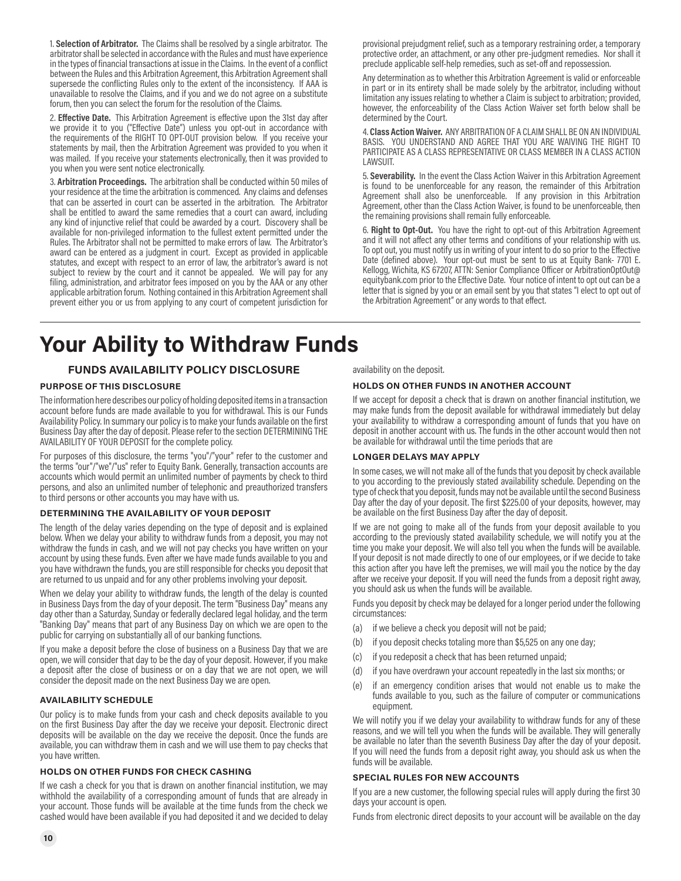1. **Selection of Arbitrator.** The Claims shall be resolved by a single arbitrator. The arbitrator shall be selected in accordance with the Rules and must have experience in the types of financial transactions at issue in the Claims. In the event of a conflict between the Rules and this Arbitration Agreement, this Arbitration Agreement shall supersede the conflicting Rules only to the extent of the inconsistency. If AAA is unavailable to resolve the Claims, and if you and we do not agree on a substitute forum, then you can select the forum for the resolution of the Claims.

2. **Effective Date.** This Arbitration Agreement is effective upon the 31st day after we provide it to you ("Effective Date") unless you opt-out in accordance with the requirements of the RIGHT TO OPT-OUT provision below. If you receive your statements by mail, then the Arbitration Agreement was provided to you when it was mailed. If you receive your statements electronically, then it was provided to you when you were sent notice electronically.

3. **Arbitration Proceedings.** The arbitration shall be conducted within 50 miles of your residence at the time the arbitration is commenced. Any claims and defenses that can be asserted in court can be asserted in the arbitration. The Arbitrator shall be entitled to award the same remedies that a court can award, including any kind of injunctive relief that could be awarded by a court. Discovery shall be available for non-privileged information to the fullest extent permitted under the Rules. The Arbitrator shall not be permitted to make errors of law. The Arbitrator's award can be entered as a judgment in court. Except as provided in applicable statutes, and except with respect to an error of law, the arbitrator's award is not subject to review by the court and it cannot be appealed. We will pay for any filing, administration, and arbitrator fees imposed on you by the AAA or any other applicable arbitration forum. Nothing contained in this Arbitration Agreement shall prevent either you or us from applying to any court of competent jurisdiction for provisional prejudgment relief, such as a temporary restraining order, a temporary protective order, an attachment, or any other pre-judgment remedies. Nor shall it preclude applicable self-help remedies, such as set-off and repossession.

Any determination as to whether this Arbitration Agreement is valid or enforceable in part or in its entirety shall be made solely by the arbitrator, including without limitation any issues relating to whether a Claim is subject to arbitration; provided, however, the enforceability of the Class Action Waiver set forth below shall be determined by the Court.

4. **Class Action Waiver.** ANY ARBITRATION OF A CLAIM SHALL BE ON AN INDIVIDUAL BASIS. YOU UNDERSTAND AND AGREE THAT YOU ARE WAIVING THE RIGHT TO PARTICIPATE AS A CLASS REPRESENTATIVE OR CLASS MEMBER IN A CLASS ACTION LAWSUIT.

5. **Severability.** In the event the Class Action Waiver in this Arbitration Agreement is found to be unenforceable for any reason, the remainder of this Arbitration Agreement shall also be unenforceable. If any provision in this Arbitration Agreement, other than the Class Action Waiver, is found to be unenforceable, then the remaining provisions shall remain fully enforceable.

6. **Right to Opt-Out.** You have the right to opt-out of this Arbitration Agreement and it will not affect any other terms and conditions of your relationship with us. To opt out, you must notify us in writing of your intent to do so prior to the Effective Date (defined above). Your opt-out must be sent to us at Equity Bank- 7701 E. Kellogg, Wichita, KS 67207, ATTN: Senior Compliance Officer or ArbitrationOptOut@ equitybank.com prior to the Effective Date. Your notice of intent to opt out can be a letter that is signed by you or an email sent by you that states "I elect to opt out of the Arbitration Agreement" or any words to that effect.

# **Your Ability to Withdraw Funds**

## **FUNDS AVAILABILITY POLICY DISCLOSURE**

#### **PURPOSE OF THIS DISCLOSURE**

The information here describes our policy of holding deposited items in a transaction account before funds are made available to you for withdrawal. This is our Funds Availability Policy. In summary our policy is to make your funds available on the first Business Day after the day of deposit. Please refer to the section DETERMINING THE AVAILABILITY OF YOUR DEPOSIT for the complete policy.

For purposes of this disclosure, the terms "you"/"your" refer to the customer and the terms "our"/"we"/"us" refer to Equity Bank. Generally, transaction accounts are accounts which would permit an unlimited number of payments by check to third persons, and also an unlimited number of telephonic and preauthorized transfers to third persons or other accounts you may have with us.

#### **DETERMINING THE AVAILABILITY OF YOUR DEPOSIT**

The length of the delay varies depending on the type of deposit and is explained below. When we delay your ability to withdraw funds from a deposit, you may not withdraw the funds in cash, and we will not pay checks you have written on your account by using these funds. Even after we have made funds available to you and you have withdrawn the funds, you are still responsible for checks you deposit that are returned to us unpaid and for any other problems involving your deposit.

When we delay your ability to withdraw funds, the length of the delay is counted in Business Days from the day of your deposit. The term "Business Day" means any day other than a Saturday, Sunday or federally declared legal holiday, and the term "Banking Day" means that part of any Business Day on which we are open to the public for carrying on substantially all of our banking functions.

If you make a deposit before the close of business on a Business Day that we are open, we will consider that day to be the day of your deposit. However, if you make a deposit after the close of business or on a day that we are not open, we will consider the deposit made on the next Business Day we are open.

#### **AVAILABILITY SCHEDULE**

Our policy is to make funds from your cash and check deposits available to you on the first Business Day after the day we receive your deposit. Electronic direct deposits will be available on the day we receive the deposit. Once the funds are available, you can withdraw them in cash and we will use them to pay checks that you have written.

#### **HOLDS ON OTHER FUNDS FOR CHECK CASHING**

If we cash a check for you that is drawn on another financial institution, we may withhold the availability of a corresponding amount of funds that are already in your account. Those funds will be available at the time funds from the check we cashed would have been available if you had deposited it and we decided to delay

availability on the deposit.

#### **HOLDS ON OTHER FUNDS IN ANOTHER ACCOUNT**

If we accept for deposit a check that is drawn on another financial institution, we may make funds from the deposit available for withdrawal immediately but delay your availability to withdraw a corresponding amount of funds that you have on deposit in another account with us. The funds in the other account would then not be available for withdrawal until the time periods that are

#### **LONGER DELAYS MAY APPLY**

In some cases, we will not make all of the funds that you deposit by check available to you according to the previously stated availability schedule. Depending on the type of check that you deposit, funds may not be available until the second Business Day after the day of your deposit. The first \$225.00 of your deposits, however, may be available on the first Business Day after the day of deposit.

If we are not going to make all of the funds from your deposit available to you according to the previously stated availability schedule, we will notify you at the time you make your deposit. We will also tell you when the funds will be available. If your deposit is not made directly to one of our employees, or if we decide to take this action after you have left the premises, we will mail you the notice by the day after we receive your deposit. If you will need the funds from a deposit right away, you should ask us when the funds will be available.

Funds you deposit by check may be delayed for a longer period under the following circumstances:

- (a) if we believe a check you deposit will not be paid;
- (b) if you deposit checks totaling more than \$5,525 on any one day;
- (c) if you redeposit a check that has been returned unpaid;
- (d) if you have overdrawn your account repeatedly in the last six months; or
- (e) if an emergency condition arises that would not enable us to make the funds available to you, such as the failure of computer or communications equipment.

We will notify you if we delay your availability to withdraw funds for any of these reasons, and we will tell you when the funds will be available. They will generally be available no later than the seventh Business Day after the day of your deposit. If you will need the funds from a deposit right away, you should ask us when the funds will be available.

#### **SPECIAL RULES FOR NEW ACCOUNTS**

If you are a new customer, the following special rules will apply during the first 30 days your account is open.

Funds from electronic direct deposits to your account will be available on the day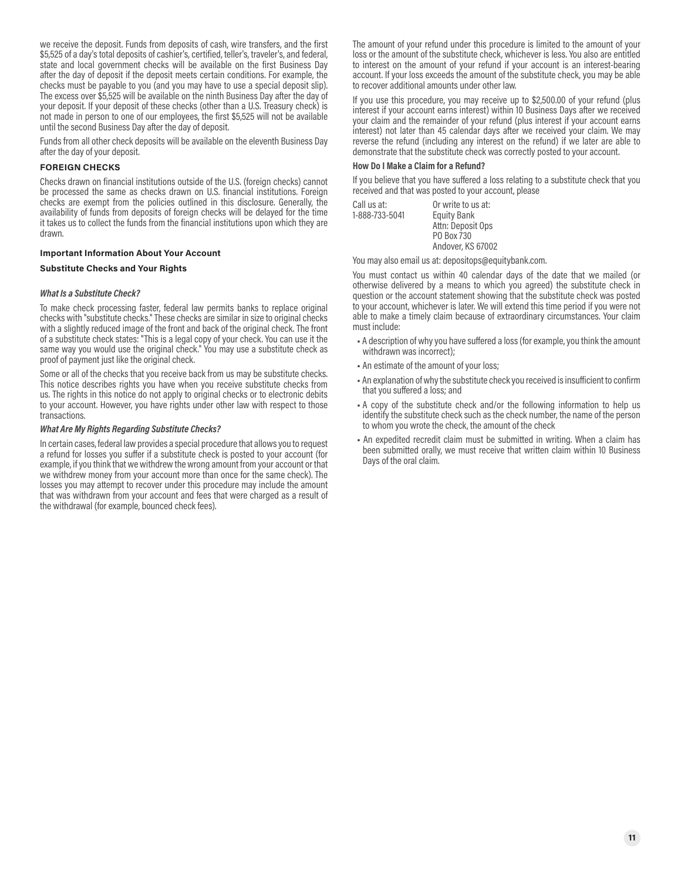we receive the deposit. Funds from deposits of cash, wire transfers, and the first \$5,525 of a day's total deposits of cashier's, certified, teller's, traveler's, and federal, state and local government checks will be available on the first Business Day after the day of deposit if the deposit meets certain conditions. For example, the checks must be payable to you (and you may have to use a special deposit slip). The excess over \$5,525 will be available on the ninth Business Day after the day of your deposit. If your deposit of these checks (other than a U.S. Treasury check) is not made in person to one of our employees, the first \$5,525 will not be available until the second Business Day after the day of deposit.

Funds from all other check deposits will be available on the eleventh Business Day after the day of your deposit.

#### **FOREIGN CHECKS**

Checks drawn on financial institutions outside of the U.S. (foreign checks) cannot be processed the same as checks drawn on U.S. financial institutions. Foreign checks are exempt from the policies outlined in this disclosure. Generally, the availability of funds from deposits of foreign checks will be delayed for the time it takes us to collect the funds from the financial institutions upon which they are drawn.

#### **Important Information About Your Account**

#### **Substitute Checks and Your Rights**

#### *What Is a Substitute Check?*

To make check processing faster, federal law permits banks to replace original checks with "substitute checks." These checks are similar in size to original checks with a slightly reduced image of the front and back of the original check. The front of a substitute check states: "This is a legal copy of your check. You can use it the same way you would use the original check." You may use a substitute check as proof of payment just like the original check.

Some or all of the checks that you receive back from us may be substitute checks. This notice describes rights you have when you receive substitute checks from us. The rights in this notice do not apply to original checks or to electronic debits to your account. However, you have rights under other law with respect to those transactions.

#### *What Are My Rights Regarding Substitute Checks?*

In certain cases, federal law provides a special procedure that allows you to request a refund for losses you suffer if a substitute check is posted to your account (for example, if you think that we withdrew the wrong amount from your account or that we withdrew money from your account more than once for the same check). The losses you may attempt to recover under this procedure may include the amount that was withdrawn from your account and fees that were charged as a result of the withdrawal (for example, bounced check fees).

The amount of your refund under this procedure is limited to the amount of your loss or the amount of the substitute check, whichever is less. You also are entitled to interest on the amount of your refund if your account is an interest-bearing account. If your loss exceeds the amount of the substitute check, you may be able to recover additional amounts under other law.

If you use this procedure, you may receive up to \$2,500.00 of your refund (plus interest if your account earns interest) within 10 Business Days after we received your claim and the remainder of your refund (plus interest if your account earns interest) not later than 45 calendar days after we received your claim. We may reverse the refund (including any interest on the refund) if we later are able to demonstrate that the substitute check was correctly posted to your account.

## **How Do I Make a Claim for a Refund?**

If you believe that you have suffered a loss relating to a substitute check that you received and that was posted to your account, please

| Call us at:    | Or write to us at: |
|----------------|--------------------|
| 1-888-733-5041 | Equity Bank        |
|                | Attn: Deposit Ops  |
|                | PO Box 730         |
|                | Andover, KS 67002  |
|                |                    |

You may also email us at: depositops@equitybank.com.

You must contact us within 40 calendar days of the date that we mailed (or otherwise delivered by a means to which you agreed) the substitute check in question or the account statement showing that the substitute check was posted to your account, whichever is later. We will extend this time period if you were not able to make a timely claim because of extraordinary circumstances. Your claim must include:

- A description of why you have suffered a loss (for example, you think the amount withdrawn was incorrect);
- An estimate of the amount of your loss;
- An explanation of why the substitute check you received is insufficient to confirm that you suffered a loss; and
- A copy of the substitute check and/or the following information to help us identify the substitute check such as the check number, the name of the person to whom you wrote the check, the amount of the check
- An expedited recredit claim must be submitted in writing. When a claim has been submitted orally, we must receive that written claim within 10 Business Days of the oral claim.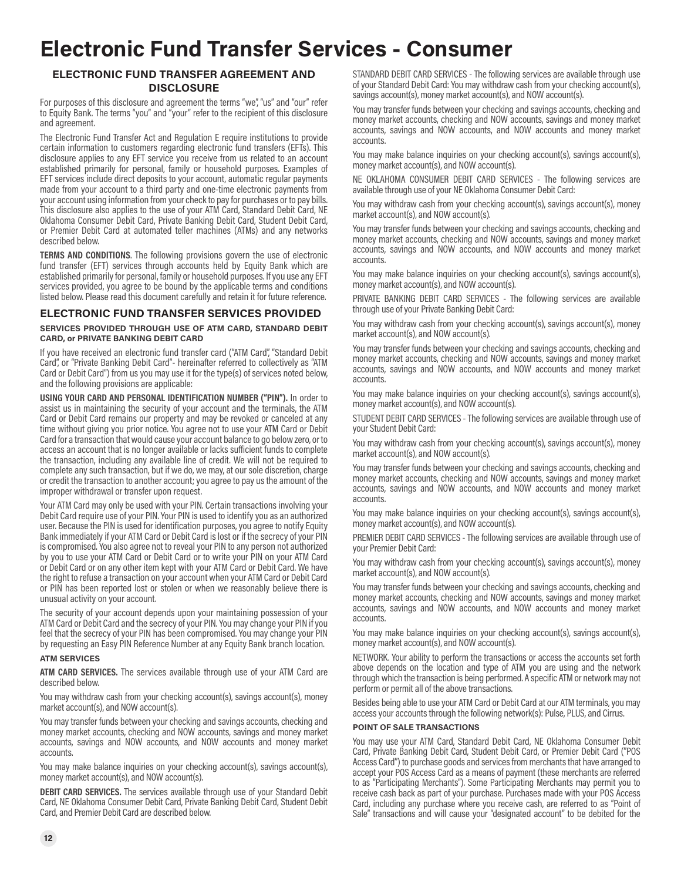# **Electronic Fund Transfer Services - Consumer**

## **ELECTRONIC FUND TRANSFER AGREEMENT AND DISCLOSURE**

For purposes of this disclosure and agreement the terms "we", "us" and "our" refer to Equity Bank. The terms "you" and "your" refer to the recipient of this disclosure and agreement.

The Electronic Fund Transfer Act and Regulation E require institutions to provide certain information to customers regarding electronic fund transfers (EFTs). This disclosure applies to any EFT service you receive from us related to an account established primarily for personal, family or household purposes. Examples of EFT services include direct deposits to your account, automatic regular payments made from your account to a third party and one-time electronic payments from your account using information from your check to pay for purchases or to pay bills. This disclosure also applies to the use of your ATM Card, Standard Debit Card, NE Oklahoma Consumer Debit Card, Private Banking Debit Card, Student Debit Card, or Premier Debit Card at automated teller machines (ATMs) and any networks described below.

**TERMS AND CONDITIONS**. The following provisions govern the use of electronic fund transfer (EFT) services through accounts held by Equity Bank which are established primarily for personal, family or household purposes. If you use any EFT services provided, you agree to be bound by the applicable terms and conditions listed below. Please read this document carefully and retain it for future reference.

## **ELECTRONIC FUND TRANSFER SERVICES PROVIDED**

#### **SERVICES PROVIDED THROUGH USE OF ATM CARD, STANDARD DEBIT CARD, or PRIVATE BANKING DEBIT CARD**

If you have received an electronic fund transfer card ("ATM Card", "Standard Debit Card", or "Private Banking Debit Card"- hereinafter referred to collectively as "ATM Card or Debit Card") from us you may use it for the type(s) of services noted below, and the following provisions are applicable:

**USING YOUR CARD AND PERSONAL IDENTIFICATION NUMBER ("PIN").** In order to assist us in maintaining the security of your account and the terminals, the ATM Card or Debit Card remains our property and may be revoked or canceled at any time without giving you prior notice. You agree not to use your ATM Card or Debit Card for a transaction that would cause your account balance to go below zero, or to access an account that is no longer available or lacks sufficient funds to complete the transaction, including any available line of credit. We will not be required to complete any such transaction, but if we do, we may, at our sole discretion, charge or credit the transaction to another account; you agree to pay us the amount of the improper withdrawal or transfer upon request.

Your ATM Card may only be used with your PIN. Certain transactions involving your Debit Card require use of your PIN. Your PIN is used to identify you as an authorized user. Because the PIN is used for identification purposes, you agree to notify Equity Bank immediately if your ATM Card or Debit Card is lost or if the secrecy of your PIN is compromised. You also agree not to reveal your PIN to any person not authorized by you to use your ATM Card or Debit Card or to write your PIN on your ATM Card or Debit Card or on any other item kept with your ATM Card or Debit Card. We have the right to refuse a transaction on your account when your ATM Card or Debit Card or PIN has been reported lost or stolen or when we reasonably believe there is unusual activity on your account.

The security of your account depends upon your maintaining possession of your ATM Card or Debit Card and the secrecy of your PIN. You may change your PIN if you feel that the secrecy of your PIN has been compromised. You may change your PIN by requesting an Easy PIN Reference Number at any Equity Bank branch location.

#### **ATM SERVICES**

**ATM CARD SERVICES.** The services available through use of your ATM Card are described below.

You may withdraw cash from your checking account(s), savings account(s), money market account(s), and NOW account(s).

You may transfer funds between your checking and savings accounts, checking and money market accounts, checking and NOW accounts, savings and money market accounts, savings and NOW accounts, and NOW accounts and money market accounts.

You may make balance inquiries on your checking account(s), savings account(s), money market account(s), and NOW account(s).

**DEBIT CARD SERVICES.** The services available through use of your Standard Debit Card, NE Oklahoma Consumer Debit Card, Private Banking Debit Card, Student Debit Card, and Premier Debit Card are described below.

STANDARD DEBIT CARD SERVICES - The following services are available through use of your Standard Debit Card: You may withdraw cash from your checking account(s), savings account(s), money market account(s), and NOW account(s).

You may transfer funds between your checking and savings accounts, checking and money market accounts, checking and NOW accounts, savings and money market accounts, savings and NOW accounts, and NOW accounts and money market accounts.

You may make balance inquiries on your checking account(s), savings account(s), money market account(s), and NOW account(s).

NE OKLAHOMA CONSUMER DEBIT CARD SERVICES - The following services are available through use of your NE Oklahoma Consumer Debit Card:

You may withdraw cash from your checking account(s), savings account(s), money market account(s), and NOW account(s).

You may transfer funds between your checking and savings accounts, checking and money market accounts, checking and NOW accounts, savings and money market accounts, savings and NOW accounts, and NOW accounts and money market accounts.

You may make balance inquiries on your checking account(s), savings account(s), money market account(s), and NOW account(s).

PRIVATE BANKING DEBIT CARD SERVICES - The following services are available through use of your Private Banking Debit Card:

You may withdraw cash from your checking account(s), savings account(s), money market account(s), and NOW account(s).

You may transfer funds between your checking and savings accounts, checking and money market accounts, checking and NOW accounts, savings and money market accounts, savings and NOW accounts, and NOW accounts and money market accounts.

You may make balance inquiries on your checking account(s), savings account(s), money market account(s), and NOW account(s).

STUDENT DEBIT CARD SERVICES - The following services are available through use of your Student Debit Card:

You may withdraw cash from your checking account(s), savings account(s), money market account(s), and NOW account(s).

You may transfer funds between your checking and savings accounts, checking and money market accounts, checking and NOW accounts, savings and money market accounts, savings and NOW accounts, and NOW accounts and money market accounts.

You may make balance inquiries on your checking account(s), savings account(s), money market account(s), and NOW account(s).

PREMIER DEBIT CARD SERVICES - The following services are available through use of your Premier Debit Card:

You may withdraw cash from your checking account(s), savings account(s), money market account(s), and NOW account(s).

You may transfer funds between your checking and savings accounts, checking and money market accounts, checking and NOW accounts, savings and money market accounts, savings and NOW accounts, and NOW accounts and money market accounts.

You may make balance inquiries on your checking account(s), savings account(s), money market account(s), and NOW account(s).

NETWORK. Your ability to perform the transactions or access the accounts set forth above depends on the location and type of ATM you are using and the network through which the transaction is being performed. A specific ATM or network may not perform or permit all of the above transactions.

Besides being able to use your ATM Card or Debit Card at our ATM terminals, you may access your accounts through the following network(s): Pulse, PLUS, and Cirrus.

#### **POINT OF SALE TRANSACTIONS**

You may use your ATM Card, Standard Debit Card, NE Oklahoma Consumer Debit Card, Private Banking Debit Card, Student Debit Card, or Premier Debit Card (''POS Access Card'') to purchase goods and services from merchants that have arranged to accept your POS Access Card as a means of payment (these merchants are referred to as "Participating Merchants"). Some Participating Merchants may permit you to receive cash back as part of your purchase. Purchases made with your POS Access Card, including any purchase where you receive cash, are referred to as "Point of Sale" transactions and will cause your "designated account" to be debited for the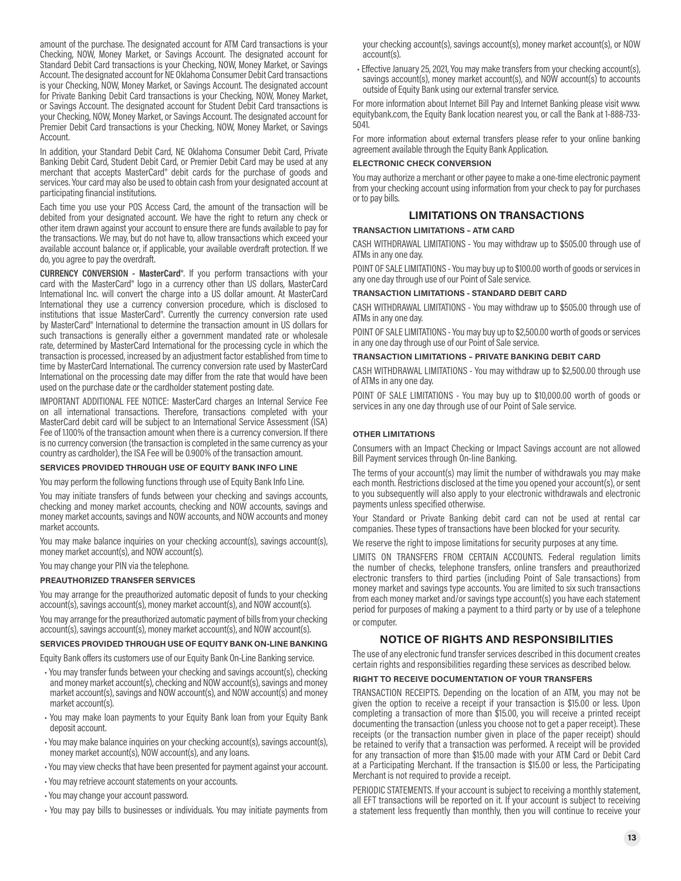amount of the purchase. The designated account for ATM Card transactions is your Checking, NOW, Money Market, or Savings Account. The designated account for Standard Debit Card transactions is your Checking, NOW, Money Market, or Savings Account. The designated account for NE Oklahoma Consumer Debit Card transactions is your Checking, NOW, Money Market, or Savings Account. The designated account for Private Banking Debit Card transactions is your Checking, NOW, Money Market, or Savings Account. The designated account for Student Debit Card transactions is your Checking, NOW, Money Market, or Savings Account. The designated account for Premier Debit Card transactions is your Checking, NOW, Money Market, or Savings Account.

In addition, your Standard Debit Card, NE Oklahoma Consumer Debit Card, Private Banking Debit Card, Student Debit Card, or Premier Debit Card may be used at any merchant that accepts MasterCard® debit cards for the purchase of goods and services. Your card may also be used to obtain cash from your designated account at participating financial institutions.

Each time you use your POS Access Card, the amount of the transaction will be debited from your designated account. We have the right to return any check or other item drawn against your account to ensure there are funds available to pay for the transactions. We may, but do not have to, allow transactions which exceed your available account balance or, if applicable, your available overdraft protection. If we do, you agree to pay the overdraft.

**CURRENCY CONVERSION - MasterCard®**. If you perform transactions with your card with the MasterCard® logo in a currency other than US dollars, MasterCard International Inc. will convert the charge into a US dollar amount. At MasterCard International they use a currency conversion procedure, which is disclosed to institutions that issue MasterCard®. Currently the currency conversion rate used by MasterCard® International to determine the transaction amount in US dollars for such transactions is generally either a government mandated rate or wholesale rate, determined by MasterCard International for the processing cycle in which the transaction is processed, increased by an adjustment factor established from time to time by MasterCard International. The currency conversion rate used by MasterCard International on the processing date may differ from the rate that would have been used on the purchase date or the cardholder statement posting date.

IMPORTANT ADDITIONAL FEE NOTICE: MasterCard charges an Internal Service Fee on all international transactions. Therefore, transactions completed with your MasterCard debit card will be subject to an International Service Assessment (ISA) Fee of 1.100% of the transaction amount when there is a currency conversion. If there is no currency conversion (the transaction is completed in the same currency as your country as cardholder), the ISA Fee will be 0.900% of the transaction amount.

#### **SERVICES PROVIDED THROUGH USE OF EQUITY BANK INFO LINE**

You may perform the following functions through use of Equity Bank Info Line.

You may initiate transfers of funds between your checking and savings accounts, checking and money market accounts, checking and NOW accounts, savings and money market accounts, savings and NOW accounts, and NOW accounts and money market accounts.

You may make balance inquiries on your checking account(s), savings account(s), money market account(s), and NOW account(s).

You may change your PIN via the telephone.

#### **PREAUTHORIZED TRANSFER SERVICES**

You may arrange for the preauthorized automatic deposit of funds to your checking account(s), savings account(s), money market account(s), and NOW account(s).

You may arrange for the preauthorized automatic payment of bills from your checking account(s), savings account(s), money market account(s), and NOW account(s).

#### **SERVICES PROVIDED THROUGH USE OF EQUITY BANK ON-LINE BANKING**

Equity Bank offers its customers use of our Equity Bank On-Line Banking service.

- You may transfer funds between your checking and savings account(s), checking and money market account(s), checking and NOW account(s), savings and money market account(s), savings and NOW account(s), and NOW account(s) and money market account(s).
- You may make loan payments to your Equity Bank loan from your Equity Bank deposit account.
- You may make balance inquiries on your checking account(s), savings account(s), money market account(s), NOW account(s), and any loans.
- You may view checks that have been presented for payment against your account.
- You may retrieve account statements on your accounts.
- You may change your account password.
- You may pay bills to businesses or individuals. You may initiate payments from

your checking account(s), savings account(s), money market account(s), or NOW account(s).

• Effective January 25, 2021, You may make transfers from your checking account(s), savings account(s), money market account(s), and NOW account(s) to accounts outside of Equity Bank using our external transfer service.

For more information about Internet Bill Pay and Internet Banking please visit www. equitybank.com, the Equity Bank location nearest you, or call the Bank at 1-888-733- 5041.

For more information about external transfers please refer to your online banking agreement available through the Equity Bank Application.

#### **ELECTRONIC CHECK CONVERSION**

You may authorize a merchant or other payee to make a one-time electronic payment from your checking account using information from your check to pay for purchases or to pay bills.

## **LIMITATIONS ON TRANSACTIONS**

#### **TRANSACTION LIMITATIONS – ATM CARD**

CASH WITHDRAWAL LIMITATIONS - You may withdraw up to \$505.00 through use of ATMs in any one day.

POINT OF SALE LIMITATIONS - You may buy up to \$100.00 worth of goods or services in any one day through use of our Point of Sale service.

#### **TRANSACTION LIMITATIONS - STANDARD DEBIT CARD**

CASH WITHDRAWAL LIMITATIONS - You may withdraw up to \$505.00 through use of ATMs in any one day.

POINT OF SALE LIMITATIONS - You may buy up to \$2,500.00 worth of goods or services in any one day through use of our Point of Sale service.

#### **TRANSACTION LIMITATIONS – PRIVATE BANKING DEBIT CARD**

CASH WITHDRAWAL LIMITATIONS - You may withdraw up to \$2,500.00 through use of ATMs in any one day.

POINT OF SALE LIMITATIONS - You may buy up to \$10,000.00 worth of goods or services in any one day through use of our Point of Sale service.

#### **OTHER LIMITATIONS**

Consumers with an Impact Checking or Impact Savings account are not allowed Bill Payment services through On-line Banking.

The terms of your account(s) may limit the number of withdrawals you may make each month. Restrictions disclosed at the time you opened your account(s), or sent to you subsequently will also apply to your electronic withdrawals and electronic payments unless specified otherwise.

Your Standard or Private Banking debit card can not be used at rental car companies. These types of transactions have been blocked for your security.

We reserve the right to impose limitations for security purposes at any time.

LIMITS ON TRANSFERS FROM CERTAIN ACCOUNTS. Federal regulation limits the number of checks, telephone transfers, online transfers and preauthorized electronic transfers to third parties (including Point of Sale transactions) from money market and savings type accounts. You are limited to six such transactions from each money market and/or savings type account(s) you have each statement period for purposes of making a payment to a third party or by use of a telephone or computer.

#### **NOTICE OF RIGHTS AND RESPONSIBILITIES**

The use of any electronic fund transfer services described in this document creates certain rights and responsibilities regarding these services as described below.

#### **RIGHT TO RECEIVE DOCUMENTATION OF YOUR TRANSFERS**

TRANSACTION RECEIPTS. Depending on the location of an ATM, you may not be given the option to receive a receipt if your transaction is \$15.00 or less. Upon completing a transaction of more than \$15.00, you will receive a printed receipt documenting the transaction (unless you choose not to get a paper receipt). These receipts (or the transaction number given in place of the paper receipt) should be retained to verify that a transaction was performed. A receipt will be provided for any transaction of more than \$15.00 made with your ATM Card or Debit Card at a Participating Merchant. If the transaction is \$15.00 or less, the Participating Merchant is not required to provide a receipt.

PERIODIC STATEMENTS. If your account is subject to receiving a monthly statement, all EFT transactions will be reported on it. If your account is subject to receiving a statement less frequently than monthly, then you will continue to receive your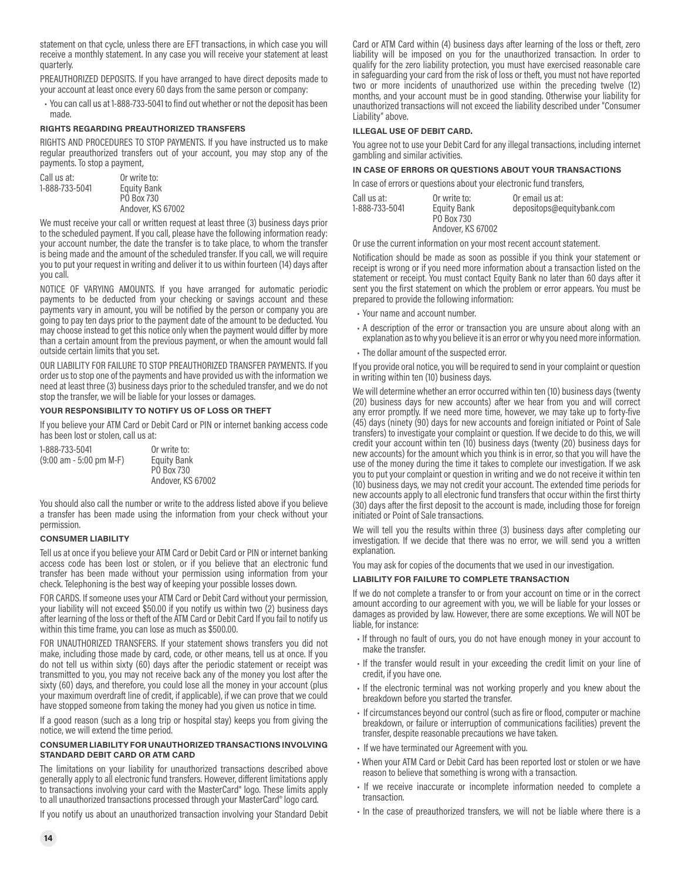statement on that cycle, unless there are EFT transactions, in which case you will receive a monthly statement. In any case you will receive your statement at least quarterly.

PREAUTHORIZED DEPOSITS. If you have arranged to have direct deposits made to your account at least once every 60 days from the same person or company:

• You can call us at 1-888-733-5041 to find out whether or not the deposit has been made.

#### **RIGHTS REGARDING PREAUTHORIZED TRANSFERS**

RIGHTS AND PROCEDURES TO STOP PAYMENTS. If you have instructed us to make regular preauthorized transfers out of your account, you may stop any of the payments. To stop a payment,

| Call us at:    | Or write to:      |
|----------------|-------------------|
| 1-888-733-5041 | Equity Bank       |
|                | PO Box 730        |
|                | Andover, KS 67002 |

We must receive your call or written request at least three (3) business days prior to the scheduled payment. If you call, please have the following information ready: your account number, the date the transfer is to take place, to whom the transfer is being made and the amount of the scheduled transfer. If you call, we will require you to put your request in writing and deliver it to us within fourteen (14) days after you call.

NOTICE OF VARYING AMOUNTS. If you have arranged for automatic periodic payments to be deducted from your checking or savings account and these payments vary in amount, you will be notified by the person or company you are going to pay ten days prior to the payment date of the amount to be deducted. You may choose instead to get this notice only when the payment would differ by more than a certain amount from the previous payment, or when the amount would fall outside certain limits that you set.

OUR LIABILITY FOR FAILURE TO STOP PREAUTHORIZED TRANSFER PAYMENTS. If you order us to stop one of the payments and have provided us with the information we need at least three (3) business days prior to the scheduled transfer, and we do not stop the transfer, we will be liable for your losses or damages.

#### **YOUR RESPONSIBILITY TO NOTIFY US OF LOSS OR THEFT**

If you believe your ATM Card or Debit Card or PIN or internet banking access code has been lost or stolen, call us at:

1-888-733-5041 Or write to: (9:00 am - 5:00 pm M-F) Equity Bank

PO Box 730 Andover, KS 67002

You should also call the number or write to the address listed above if you believe a transfer has been made using the information from your check without your permission.

#### **CONSUMER LIABILITY**

Tell us at once if you believe your ATM Card or Debit Card or PIN or internet banking access code has been lost or stolen, or if you believe that an electronic fund transfer has been made without your permission using information from your check. Telephoning is the best way of keeping your possible losses down.

FOR CARDS. If someone uses your ATM Card or Debit Card without your permission, your liability will not exceed \$50.00 if you notify us within two (2) business days after learning of the loss or theft of the ATM Card or Debit Card If you fail to notify us within this time frame, you can lose as much as \$500.00.

FOR UNAUTHORIZED TRANSFERS. If your statement shows transfers you did not make, including those made by card, code, or other means, tell us at once. If you do not tell us within sixty (60) days after the periodic statement or receipt was transmitted to you, you may not receive back any of the money you lost after the sixty (60) days, and therefore, you could lose all the money in your account (plus your maximum overdraft line of credit, if applicable), if we can prove that we could have stopped someone from taking the money had you given us notice in time.

If a good reason (such as a long trip or hospital stay) keeps you from giving the notice, we will extend the time period.

#### **CONSUMER LIABILITY FOR UNAUTHORIZED TRANSACTIONS INVOLVING STANDARD DEBIT CARD OR ATM CARD**

The limitations on your liability for unauthorized transactions described above generally apply to all electronic fund transfers. However, different limitations apply to transactions involving your card with the MasterCard® logo. These limits apply to all unauthorized transactions processed through your MasterCard® logo card.

If you notify us about an unauthorized transaction involving your Standard Debit

Card or ATM Card within (4) business days after learning of the loss or theft, zero liability will be imposed on you for the unauthorized transaction. In order to qualify for the zero liability protection, you must have exercised reasonable care in safeguarding your card from the risk of loss or theft, you must not have reported two or more incidents of unauthorized use within the preceding twelve (12) months, and your account must be in good standing. Otherwise your liability for unauthorized transactions will not exceed the liability described under "Consumer Liability" above.

#### **ILLEGAL USE OF DEBIT CARD.**

You agree not to use your Debit Card for any illegal transactions, including internet gambling and similar activities.

#### **IN CASE OF ERRORS OR QUESTIONS ABOUT YOUR TRANSACTIONS**

In case of errors or questions about your electronic fund transfers,

| Call us at:    | Or write to:              | Or email us at:           |
|----------------|---------------------------|---------------------------|
| 1-888-733-5041 | Equity Bank<br>PO Box 730 | depositops@equitybank.com |
|                |                           |                           |
|                | Andover, KS 67002         |                           |

Or use the current information on your most recent account statement.

Notification should be made as soon as possible if you think your statement or receipt is wrong or if you need more information about a transaction listed on the statement or receipt. You must contact Equity Bank no later than 60 days after it sent you the first statement on which the problem or error appears. You must be prepared to provide the following information:

- Your name and account number.
- A description of the error or transaction you are unsure about along with an explanation as to why you believe it is an error or why you need more information.
- The dollar amount of the suspected error.

If you provide oral notice, you will be required to send in your complaint or question in writing within ten (10) business days.

We will determine whether an error occurred within ten (10) business days (twenty (20) business days for new accounts) after we hear from you and will correct any error promptly. If we need more time, however, we may take up to forty-five (45) days (ninety (90) days for new accounts and foreign initiated or Point of Sale transfers) to investigate your complaint or question. If we decide to do this, we will credit your account within ten (10) business days (twenty (20) business days for new accounts) for the amount which you think is in error, so that you will have the use of the money during the time it takes to complete our investigation. If we ask you to put your complaint or question in writing and we do not receive it within ten (10) business days, we may not credit your account. The extended time periods for new accounts apply to all electronic fund transfers that occur within the first thirty (30) days after the first deposit to the account is made, including those for foreign initiated or Point of Sale transactions.

We will tell you the results within three (3) business days after completing our investigation. If we decide that there was no error, we will send you a written explanation.

You may ask for copies of the documents that we used in our investigation.

#### **LIABILITY FOR FAILURE TO COMPLETE TRANSACTION**

If we do not complete a transfer to or from your account on time or in the correct amount according to our agreement with you, we will be liable for your losses or damages as provided by law. However, there are some exceptions. We will NOT be liable, for instance:

- If through no fault of ours, you do not have enough money in your account to make the transfer.
- If the transfer would result in your exceeding the credit limit on your line of credit, if you have one.
- If the electronic terminal was not working properly and you knew about the breakdown before you started the transfer.
- If circumstances beyond our control (such as fire or flood, computer or machine breakdown, or failure or interruption of communications facilities) prevent the transfer, despite reasonable precautions we have taken.
- If we have terminated our Agreement with you.
- When your ATM Card or Debit Card has been reported lost or stolen or we have reason to believe that something is wrong with a transaction.
- If we receive inaccurate or incomplete information needed to complete a transaction.
- In the case of preauthorized transfers, we will not be liable where there is a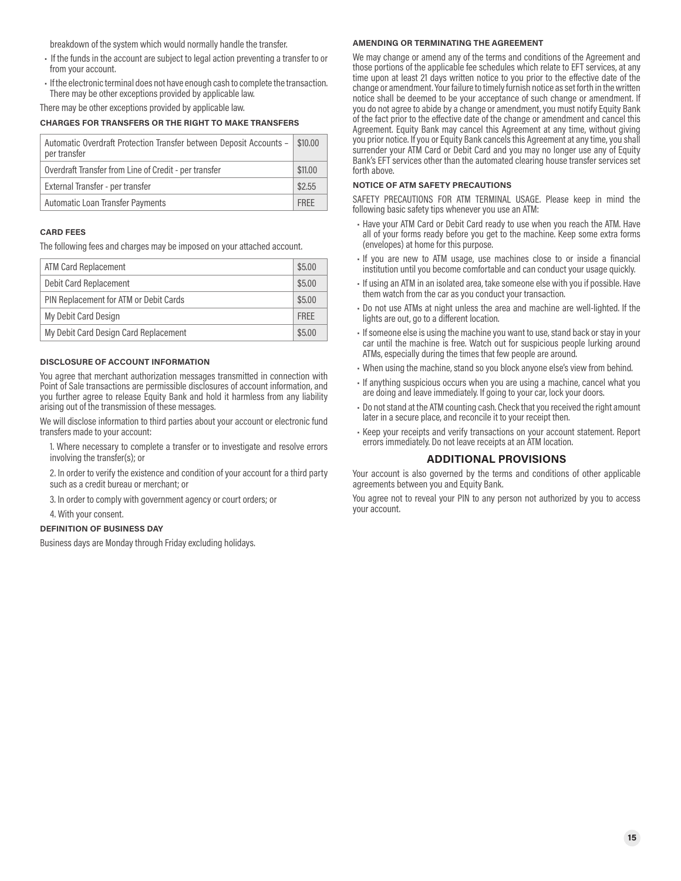breakdown of the system which would normally handle the transfer.

- If the funds in the account are subject to legal action preventing a transfer to or from your account.
- If the electronic terminal does not have enough cash to complete the transaction. There may be other exceptions provided by applicable law.

There may be other exceptions provided by applicable law.

## **CHARGES FOR TRANSFERS OR THE RIGHT TO MAKE TRANSFERS**

| Automatic Overdraft Protection Transfer between Deposit Accounts -<br>per transfer | \$10.00 |
|------------------------------------------------------------------------------------|---------|
| Overdraft Transfer from Line of Credit - per transfer                              | \$11,00 |
| External Transfer - per transfer                                                   | \$2.55  |
| Automatic Loan Transfer Payments                                                   | FRFF    |

#### **CARD FEES**

The following fees and charges may be imposed on your attached account.

| <b>ATM Card Replacement</b>            | \$5,00      |
|----------------------------------------|-------------|
| Debit Card Replacement                 | \$5,00      |
| PIN Replacement for ATM or Debit Cards | \$5,00      |
| My Debit Card Design                   | <b>FRFF</b> |
| My Debit Card Design Card Replacement  | \$5,00      |

## **DISCLOSURE OF ACCOUNT INFORMATION**

You agree that merchant authorization messages transmitted in connection with Point of Sale transactions are permissible disclosures of account information, and you further agree to release Equity Bank and hold it harmless from any liability arising out of the transmission of these messages.

We will disclose information to third parties about your account or electronic fund transfers made to your account:

1. Where necessary to complete a transfer or to investigate and resolve errors involving the transfer(s); or

2. In order to verify the existence and condition of your account for a third party such as a credit bureau or merchant; or

3. In order to comply with government agency or court orders; or

4. With your consent.

#### **DEFINITION OF BUSINESS DAY**

Business days are Monday through Friday excluding holidays.

#### **AMENDING OR TERMINATING THE AGREEMENT**

We may change or amend any of the terms and conditions of the Agreement and those portions of the applicable fee schedules which relate to EFT services, at any time upon at least 21 days written notice to you prior to the effective date of the change or amendment. Your failure to timely furnish notice as set forth in the written notice shall be deemed to be your acceptance of such change or amendment. If you do not agree to abide by a change or amendment, you must notify Equity Bank of the fact prior to the effective date of the change or amendment and cancel this Agreement. Equity Bank may cancel this Agreement at any time, without giving you prior notice. If you or Equity Bank cancels this Agreement at any time, you shall surrender your ATM Card or Debit Card and you may no longer use any of Equity Bank's EFT services other than the automated clearing house transfer services set forth above.

#### **NOTICE OF ATM SAFETY PRECAUTIONS**

SAFETY PRECAUTIONS FOR ATM TERMINAL USAGE. Please keep in mind the following basic safety tips whenever you use an ATM:

- Have your ATM Card or Debit Card ready to use when you reach the ATM. Have all of your forms ready before you get to the machine. Keep some extra forms (envelopes) at home for this purpose.
- If you are new to ATM usage, use machines close to or inside a financial institution until you become comfortable and can conduct your usage quickly.
- If using an ATM in an isolated area, take someone else with you if possible. Have them watch from the car as you conduct your transaction.
- Do not use ATMs at night unless the area and machine are well-lighted. If the lights are out, go to a different location.
- If someone else is using the machine you want to use, stand back or stay in your car until the machine is free. Watch out for suspicious people lurking around ATMs, especially during the times that few people are around.
- When using the machine, stand so you block anyone else's view from behind.
- If anything suspicious occurs when you are using a machine, cancel what you are doing and leave immediately. If going to your car, lock your doors.
- Do not stand at the ATM counting cash. Check that you received the right amount later in a secure place, and reconcile it to your receipt then.
- Keep your receipts and verify transactions on your account statement. Report errors immediately. Do not leave receipts at an ATM location.

## **ADDITIONAL PROVISIONS**

Your account is also governed by the terms and conditions of other applicable agreements between you and Equity Bank.

You agree not to reveal your PIN to any person not authorized by you to access your account.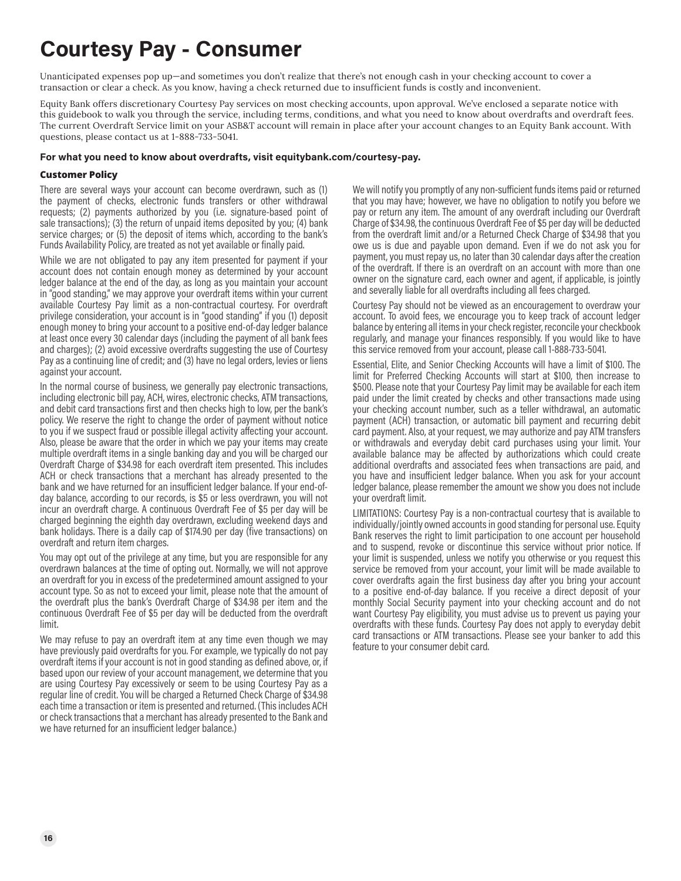# **Courtesy Pay - Consumer**

Unanticipated expenses pop up—and sometimes you don't realize that there's not enough cash in your checking account to cover a transaction or clear a check. As you know, having a check returned due to insufficient funds is costly and inconvenient.

Equity Bank offers discretionary Courtesy Pay services on most checking accounts, upon approval. We've enclosed a separate notice with this guidebook to walk you through the service, including terms, conditions, and what you need to know about overdrafts and overdraft fees. The current Overdraft Service limit on your ASB&T account will remain in place after your account changes to an Equity Bank account. With questions, please contact us at 1-888-733-5041.

#### **For what you need to know about overdrafts, visit equitybank.com/courtesy-pay.**

## **Customer Policy**

There are several ways your account can become overdrawn, such as (1) the payment of checks, electronic funds transfers or other withdrawal requests; (2) payments authorized by you (i.e. signature-based point of sale transactions); (3) the return of unpaid items deposited by you; (4) bank service charges; or (5) the deposit of items which, according to the bank's Funds Availability Policy, are treated as not yet available or finally paid.

While we are not obligated to pay any item presented for payment if your account does not contain enough money as determined by your account ledger balance at the end of the day, as long as you maintain your account in "good standing," we may approve your overdraft items within your current available Courtesy Pay limit as a non-contractual courtesy. For overdraft privilege consideration, your account is in "good standing" if you (1) deposit enough money to bring your account to a positive end-of-day ledger balance at least once every 30 calendar days (including the payment of all bank fees and charges); (2) avoid excessive overdrafts suggesting the use of Courtesy Pay as a continuing line of credit; and (3) have no legal orders, levies or liens against your account.

In the normal course of business, we generally pay electronic transactions, including electronic bill pay, ACH, wires, electronic checks, ATM transactions, and debit card transactions first and then checks high to low, per the bank's policy. We reserve the right to change the order of payment without notice to you if we suspect fraud or possible illegal activity affecting your account. Also, please be aware that the order in which we pay your items may create multiple overdraft items in a single banking day and you will be charged our Overdraft Charge of \$34.98 for each overdraft item presented. This includes ACH or check transactions that a merchant has already presented to the bank and we have returned for an insufficient ledger balance. If your end-ofday balance, according to our records, is \$5 or less overdrawn, you will not incur an overdraft charge. A continuous Overdraft Fee of \$5 per day will be charged beginning the eighth day overdrawn, excluding weekend days and bank holidays. There is a daily cap of \$174.90 per day (five transactions) on overdraft and return item charges.

You may opt out of the privilege at any time, but you are responsible for any overdrawn balances at the time of opting out. Normally, we will not approve an overdraft for you in excess of the predetermined amount assigned to your account type. So as not to exceed your limit, please note that the amount of the overdraft plus the bank's Overdraft Charge of \$34.98 per item and the continuous Overdraft Fee of \$5 per day will be deducted from the overdraft limit.

We may refuse to pay an overdraft item at any time even though we may have previously paid overdrafts for you. For example, we typically do not pay overdraft items if your account is not in good standing as defined above, or, if based upon our review of your account management, we determine that you are using Courtesy Pay excessively or seem to be using Courtesy Pay as a regular line of credit. You will be charged a Returned Check Charge of \$34.98 each time a transaction or item is presented and returned. (This includes ACH or check transactions that a merchant has already presented to the Bank and we have returned for an insufficient ledger balance.)

We will notify you promptly of any non-sufficient funds items paid or returned that you may have; however, we have no obligation to notify you before we pay or return any item. The amount of any overdraft including our Overdraft Charge of \$34.98, the continuous Overdraft Fee of \$5 per day will be deducted from the overdraft limit and/or a Returned Check Charge of \$34.98 that you owe us is due and payable upon demand. Even if we do not ask you for payment, you must repay us, no later than 30 calendar days after the creation of the overdraft. If there is an overdraft on an account with more than one owner on the signature card, each owner and agent, if applicable, is jointly and severally liable for all overdrafts including all fees charged.

Courtesy Pay should not be viewed as an encouragement to overdraw your account. To avoid fees, we encourage you to keep track of account ledger balance by entering all items in your check register, reconcile your checkbook regularly, and manage your finances responsibly. If you would like to have this service removed from your account, please call 1-888-733-5041.

Essential, Elite, and Senior Checking Accounts will have a limit of \$100. The limit for Preferred Checking Accounts will start at \$100, then increase to \$500. Please note that your Courtesy Pay limit may be available for each item paid under the limit created by checks and other transactions made using your checking account number, such as a teller withdrawal, an automatic payment (ACH) transaction, or automatic bill payment and recurring debit card payment. Also, at your request, we may authorize and pay ATM transfers or withdrawals and everyday debit card purchases using your limit. Your available balance may be affected by authorizations which could create additional overdrafts and associated fees when transactions are paid, and you have and insufficient ledger balance. When you ask for your account ledger balance, please remember the amount we show you does not include your overdraft limit.

LIMITATIONS: Courtesy Pay is a non-contractual courtesy that is available to individually/jointly owned accounts in good standing for personal use. Equity Bank reserves the right to limit participation to one account per household and to suspend, revoke or discontinue this service without prior notice. If your limit is suspended, unless we notify you otherwise or you request this service be removed from your account, your limit will be made available to cover overdrafts again the first business day after you bring your account to a positive end-of-day balance. If you receive a direct deposit of your monthly Social Security payment into your checking account and do not want Courtesy Pay eligibility, you must advise us to prevent us paying your overdrafts with these funds. Courtesy Pay does not apply to everyday debit card transactions or ATM transactions. Please see your banker to add this feature to your consumer debit card.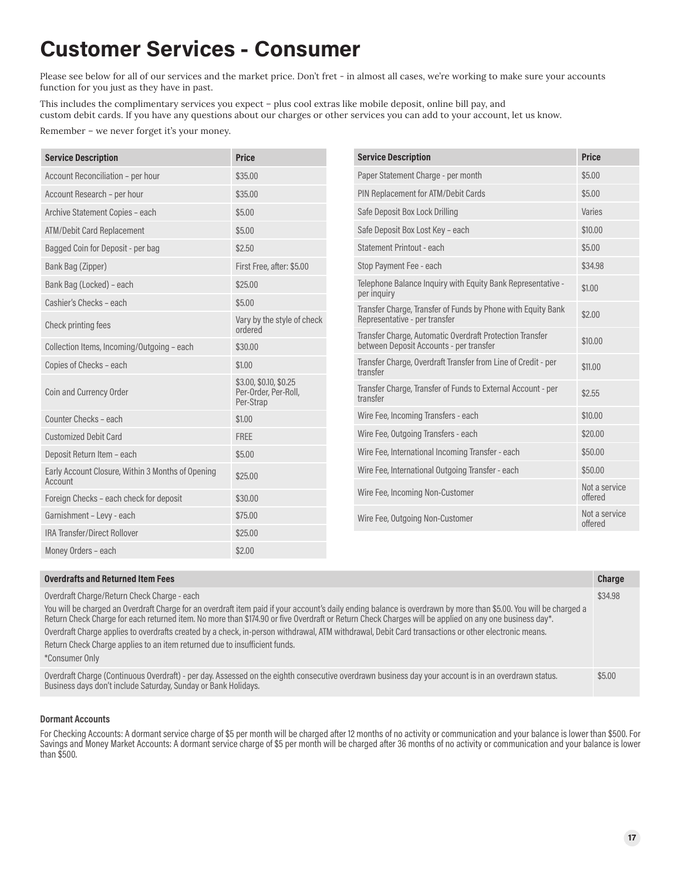# **Customer Services - Consumer**

Please see below for all of our services and the market price. Don't fret - in almost all cases, we're working to make sure your accounts function for you just as they have in past.

This includes the complimentary services you expect – plus cool extras like mobile deposit, online bill pay, and custom debit cards. If you have any questions about our charges or other services you can add to your account, let us know.

Remember – we never forget it's your money.

| <b>Service Description</b>                                   | <b>Price</b>                                                | <b>Service Description</b>                                                                          | <b>Price</b>             |
|--------------------------------------------------------------|-------------------------------------------------------------|-----------------------------------------------------------------------------------------------------|--------------------------|
| Account Reconciliation - per hour                            | \$35,00                                                     | Paper Statement Charge - per month                                                                  | \$5,00                   |
| Account Research - per hour                                  | \$35,00                                                     | PIN Replacement for ATM/Debit Cards                                                                 | \$5,00                   |
| Archive Statement Copies - each                              | \$5.00                                                      | Safe Deposit Box Lock Drilling                                                                      | Varies                   |
| <b>ATM/Debit Card Replacement</b>                            | \$5.00                                                      | Safe Deposit Box Lost Key - each                                                                    | \$10,00                  |
| Bagged Coin for Deposit - per bag                            | \$2,50                                                      | Statement Printout - each                                                                           | \$5,00                   |
| Bank Bag (Zipper)                                            | First Free, after: \$5.00                                   | Stop Payment Fee - each                                                                             | \$34.98                  |
| Bank Bag (Locked) - each                                     | \$25,00                                                     | Telephone Balance Inquiry with Equity Bank Representative -<br>per inquiry                          | \$1.00                   |
| Cashier's Checks - each                                      | \$5,00                                                      | Transfer Charge, Transfer of Funds by Phone with Equity Bank                                        | \$2.00                   |
| Check printing fees                                          | Vary by the style of check<br>ordered                       | Representative - per transfer                                                                       |                          |
| Collection Items, Incoming/Outgoing - each                   | \$30.00                                                     | Transfer Charge, Automatic Overdraft Protection Transfer<br>between Deposit Accounts - per transfer | \$10,00                  |
| Copies of Checks - each                                      | \$1.00                                                      | Transfer Charge, Overdraft Transfer from Line of Credit - per<br>transfer                           | \$11.00                  |
| Coin and Currency Order                                      | \$3.00, \$0.10, \$0.25<br>Per-Order, Per-Roll,<br>Per-Strap | Transfer Charge, Transfer of Funds to External Account - per<br>transfer                            | \$2,55                   |
| Counter Checks - each                                        | \$1.00                                                      | Wire Fee, Incoming Transfers - each                                                                 | \$10.00                  |
| <b>Customized Debit Card</b>                                 | <b>FREE</b>                                                 | Wire Fee, Outgoing Transfers - each                                                                 | \$20.00                  |
| Deposit Return Item - each                                   | \$5.00                                                      | Wire Fee, International Incoming Transfer - each                                                    | \$50.00                  |
| Early Account Closure, Within 3 Months of Opening<br>Account | \$25,00                                                     | Wire Fee, International Outgoing Transfer - each                                                    | \$50.00                  |
| Foreign Checks - each check for deposit                      | \$30,00                                                     | Wire Fee, Incoming Non-Customer                                                                     | Not a service<br>offered |
| Garnishment - Levy - each                                    | \$75.00                                                     | Wire Fee, Outgoing Non-Customer                                                                     | Not a service<br>offered |
| IRA Transfer/Direct Rollover                                 | \$25.00                                                     |                                                                                                     |                          |
| Money Orders - each                                          | \$2,00                                                      |                                                                                                     |                          |

| <b>Overdrafts and Returned Item Fees</b>                                                                                                                                                                                                                                                                                                                                                                                                                                                                                                                                                                                         | Charge  |
|----------------------------------------------------------------------------------------------------------------------------------------------------------------------------------------------------------------------------------------------------------------------------------------------------------------------------------------------------------------------------------------------------------------------------------------------------------------------------------------------------------------------------------------------------------------------------------------------------------------------------------|---------|
| Overdraft Charge/Return Check Charge - each<br>You will be charged an Overdraft Charge for an overdraft item paid if your account's daily ending balance is overdrawn by more than \$5.00. You will be charged a<br>Return Check Charge for each returned item. No more than \$174.90 or five Overdraft or Return Check Charges will be applied on any one business day*.<br>Overdraft Charge applies to overdrafts created by a check, in-person withdrawal, ATM withdrawal, Debit Card transactions or other electronic means.<br>Return Check Charge applies to an item returned due to insufficient funds.<br>*Consumer Only | \$34.98 |
| Overdraft Charge (Continuous Overdraft) - per day. Assessed on the eighth consecutive overdrawn business day your account is in an overdrawn status.<br>Business days don't include Saturday, Sunday or Bank Holidays.                                                                                                                                                                                                                                                                                                                                                                                                           | \$5,00  |

#### **Dormant Accounts**

For Checking Accounts: A dormant service charge of \$5 per month will be charged after 12 months of no activity or communication and your balance is lower than \$500. For Savings and Money Market Accounts: A dormant service charge of \$5 per month will be charged after 36 months of no activity or communication and your balance is lower than \$500.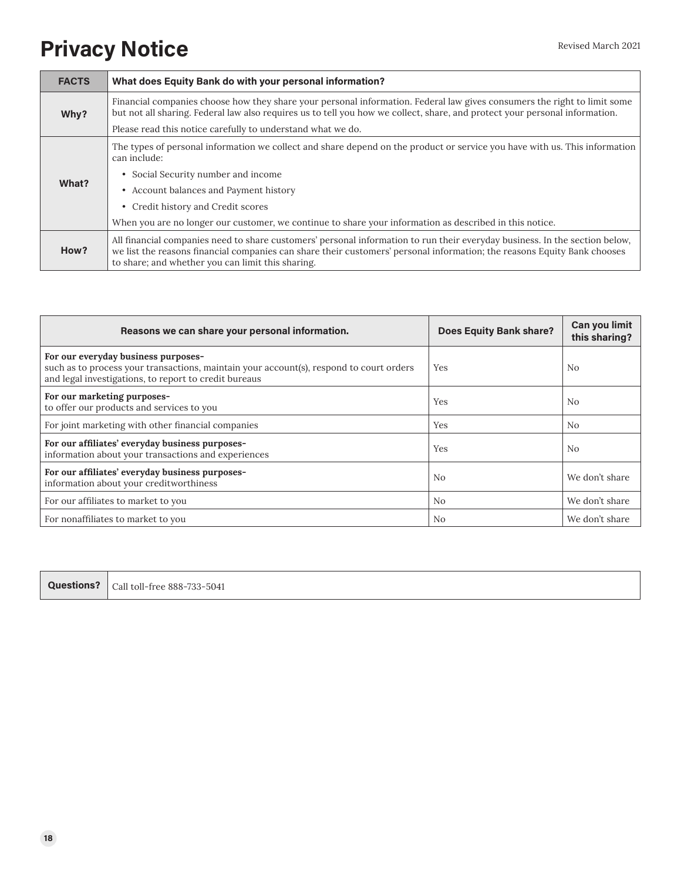# **Privacy Notice** Revised March 2021

| <b>FACTS</b> | What does Equity Bank do with your personal information?                                                                                                                                                                                                                                                     |
|--------------|--------------------------------------------------------------------------------------------------------------------------------------------------------------------------------------------------------------------------------------------------------------------------------------------------------------|
| Why?         | Financial companies choose how they share your personal information. Federal law gives consumers the right to limit some<br>but not all sharing. Federal law also requires us to tell you how we collect, share, and protect your personal information.                                                      |
|              | Please read this notice carefully to understand what we do.                                                                                                                                                                                                                                                  |
| What?        | The types of personal information we collect and share depend on the product or service you have with us. This information<br>can include:                                                                                                                                                                   |
|              | • Social Security number and income                                                                                                                                                                                                                                                                          |
|              | • Account balances and Payment history                                                                                                                                                                                                                                                                       |
|              | • Credit history and Credit scores                                                                                                                                                                                                                                                                           |
|              | When you are no longer our customer, we continue to share your information as described in this notice.                                                                                                                                                                                                      |
| How?         | All financial companies need to share customers' personal information to run their everyday business. In the section below,<br>we list the reasons financial companies can share their customers' personal information; the reasons Equity Bank chooses<br>to share; and whether you can limit this sharing. |

| Reasons we can share your personal information.                                                                                                                                         | <b>Does Equity Bank share?</b> | Can you limit<br>this sharing? |
|-----------------------------------------------------------------------------------------------------------------------------------------------------------------------------------------|--------------------------------|--------------------------------|
| For our everyday business purposes-<br>such as to process your transactions, maintain your account(s), respond to court orders<br>and legal investigations, to report to credit bureaus | Yes                            | N <sub>0</sub>                 |
| For our marketing purposes-<br>to offer our products and services to you                                                                                                                | Yes                            | N <sub>0</sub>                 |
| For joint marketing with other financial companies                                                                                                                                      | <b>Yes</b>                     | N <sub>0</sub>                 |
| For our affiliates' everyday business purposes-<br>information about your transactions and experiences                                                                                  | <b>Yes</b>                     | N <sub>0</sub>                 |
| For our affiliates' everyday business purposes-<br>information about your creditworthiness                                                                                              | N <sub>0</sub>                 | We don't share                 |
| For our affiliates to market to you                                                                                                                                                     | N <sub>o</sub>                 | We don't share                 |
| For nonaffiliates to market to you                                                                                                                                                      | N <sub>o</sub>                 | We don't share                 |